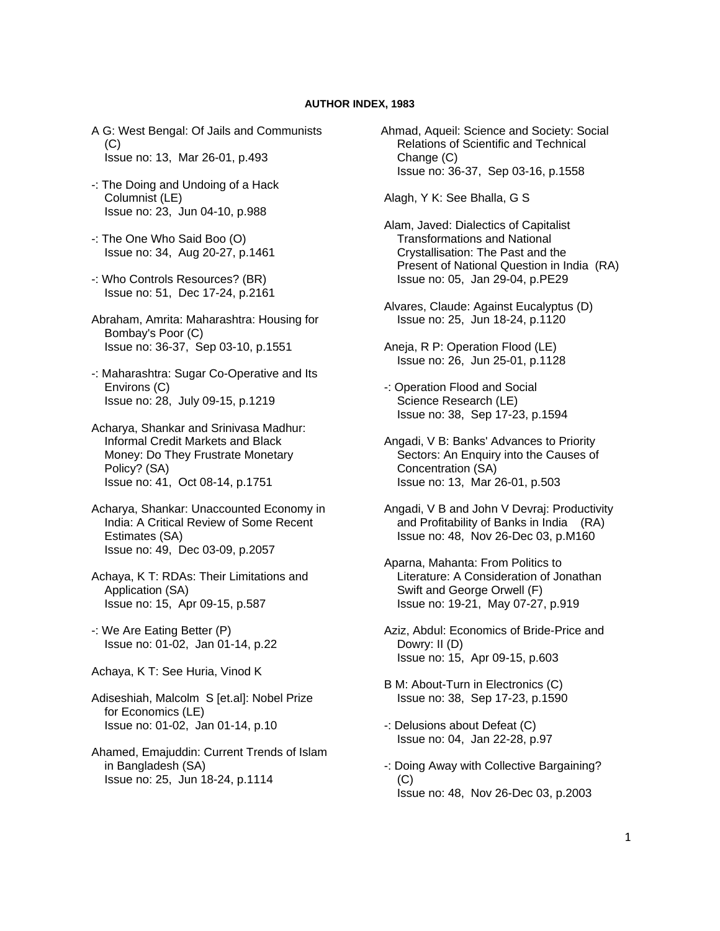## **AUTHOR INDEX, 1983**

- A G: West Bengal: Of Jails and Communists  $(C)$ Issue no: 13, Mar 26-01, p.493
- -: The Doing and Undoing of a Hack Columnist (LE) Issue no: 23, Jun 04-10, p.988
- -: The One Who Said Boo (O) Issue no: 34, Aug 20-27, p.1461
- -: Who Controls Resources? (BR) Issue no: 51, Dec 17-24, p.2161
- Abraham, Amrita: Maharashtra: Housing for Bombay's Poor (C) Issue no: 36-37, Sep 03-10, p.1551
- -: Maharashtra: Sugar Co-Operative and Its Environs (C) Issue no: 28, July 09-15, p.1219
- Acharya, Shankar and Srinivasa Madhur: Informal Credit Markets and Black Money: Do They Frustrate Monetary Policy? (SA) Issue no: 41, Oct 08-14, p.1751
- Acharya, Shankar: Unaccounted Economy in India: A Critical Review of Some Recent Estimates (SA) Issue no: 49, Dec 03-09, p.2057
- Achaya, K T: RDAs: Their Limitations and Application (SA) Issue no: 15, Apr 09-15, p.587
- -: We Are Eating Better (P) Issue no: 01-02, Jan 01-14, p.22
- Achaya, K T: See Huria, Vinod K
- Adiseshiah, Malcolm S [et.al]: Nobel Prize for Economics (LE) Issue no: 01-02, Jan 01-14, p.10
- Ahamed, Emajuddin: Current Trends of Islam in Bangladesh (SA) Issue no: 25, Jun 18-24, p.1114
- Ahmad, Aqueil: Science and Society: Social Relations of Scientific and Technical Change (C) Issue no: 36-37, Sep 03-16, p.1558
- Alagh, Y K: See Bhalla, G S
- Alam, Javed: Dialectics of Capitalist Transformations and National Crystallisation: The Past and the Present of National Question in India (RA) Issue no: 05, Jan 29-04, p.PE29
- Alvares, Claude: Against Eucalyptus (D) Issue no: 25, Jun 18-24, p.1120
- Aneja, R P: Operation Flood (LE) Issue no: 26, Jun 25-01, p.1128
- -: Operation Flood and Social Science Research (LE) Issue no: 38, Sep 17-23, p.1594
- Angadi, V B: Banks' Advances to Priority Sectors: An Enquiry into the Causes of Concentration (SA) Issue no: 13, Mar 26-01, p.503
- Angadi, V B and John V Devraj: Productivity and Profitability of Banks in India (RA) Issue no: 48, Nov 26-Dec 03, p.M160
- Aparna, Mahanta: From Politics to Literature: A Consideration of Jonathan Swift and George Orwell (F) Issue no: 19-21, May 07-27, p.919
- Aziz, Abdul: Economics of Bride-Price and Dowry: II (D) Issue no: 15, Apr 09-15, p.603
- B M: About-Turn in Electronics (C) Issue no: 38, Sep 17-23, p.1590
- -: Delusions about Defeat (C) Issue no: 04, Jan 22-28, p.97
- -: Doing Away with Collective Bargaining?  $(C)$ Issue no: 48, Nov 26-Dec 03, p.2003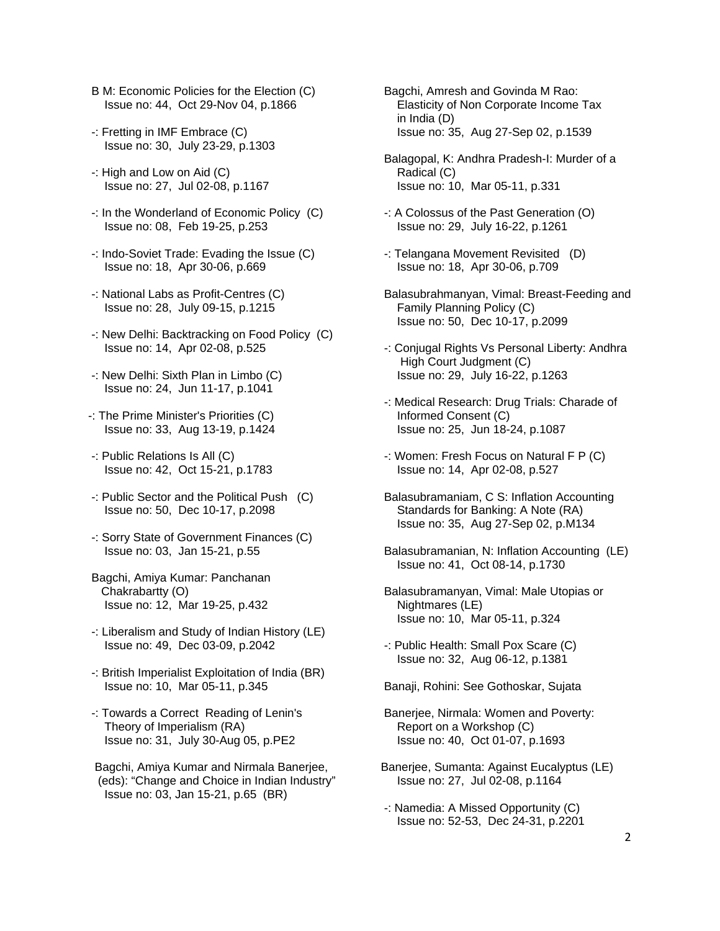- B M: Economic Policies for the Election (C) Issue no: 44, Oct 29-Nov 04, p.1866
- -: Fretting in IMF Embrace (C) Issue no: 30, July 23-29, p.1303
- -: High and Low on Aid (C) Issue no: 27, Jul 02-08, p.1167
- -: In the Wonderland of Economic Policy (C) Issue no: 08, Feb 19-25, p.253
- -: Indo-Soviet Trade: Evading the Issue (C) Issue no: 18, Apr 30-06, p.669
- -: National Labs as Profit-Centres (C) Issue no: 28, July 09-15, p.1215
- -: New Delhi: Backtracking on Food Policy (C) Issue no: 14, Apr 02-08, p.525
- -: New Delhi: Sixth Plan in Limbo (C) Issue no: 24, Jun 11-17, p.1041
- -: The Prime Minister's Priorities (C) Issue no: 33, Aug 13-19, p.1424
- -: Public Relations Is All (C) Issue no: 42, Oct 15-21, p.1783
- -: Public Sector and the Political Push (C) Issue no: 50, Dec 10-17, p.2098
- -: Sorry State of Government Finances (C) Issue no: 03, Jan 15-21, p.55
- Bagchi, Amiya Kumar: Panchanan Chakrabartty (O) Issue no: 12, Mar 19-25, p.432
- -: Liberalism and Study of Indian History (LE) Issue no: 49, Dec 03-09, p.2042
- -: British Imperialist Exploitation of India (BR) Issue no: 10, Mar 05-11, p.345
- -: Towards a Correct Reading of Lenin's Theory of Imperialism (RA) Issue no: 31, July 30-Aug 05, p.PE2
- Bagchi, Amiya Kumar and Nirmala Banerjee, (eds): "Change and Choice in Indian Industry" Issue no: 03, Jan 15-21, p.65 (BR)

 Bagchi, Amresh and Govinda M Rao: Elasticity of Non Corporate Income Tax in India (D) Issue no: 35, Aug 27-Sep 02, p.1539

- Balagopal, K: Andhra Pradesh-I: Murder of a Radical (C) Issue no: 10, Mar 05-11, p.331
- -: A Colossus of the Past Generation (O) Issue no: 29, July 16-22, p.1261
- -: Telangana Movement Revisited (D) Issue no: 18, Apr 30-06, p.709
- Balasubrahmanyan, Vimal: Breast-Feeding and Family Planning Policy (C) Issue no: 50, Dec 10-17, p.2099
- -: Conjugal Rights Vs Personal Liberty: Andhra High Court Judgment (C) Issue no: 29, July 16-22, p.1263
- -: Medical Research: Drug Trials: Charade of Informed Consent (C) Issue no: 25, Jun 18-24, p.1087
- -: Women: Fresh Focus on Natural F P (C) Issue no: 14, Apr 02-08, p.527
- Balasubramaniam, C S: Inflation Accounting Standards for Banking: A Note (RA) Issue no: 35, Aug 27-Sep 02, p.M134
- Balasubramanian, N: Inflation Accounting (LE) Issue no: 41, Oct 08-14, p.1730
- Balasubramanyan, Vimal: Male Utopias or Nightmares (LE) Issue no: 10, Mar 05-11, p.324
- -: Public Health: Small Pox Scare (C) Issue no: 32, Aug 06-12, p.1381
- Banaji, Rohini: See Gothoskar, Sujata
- Banerjee, Nirmala: Women and Poverty: Report on a Workshop (C) Issue no: 40, Oct 01-07, p.1693
- Banerjee, Sumanta: Against Eucalyptus (LE) Issue no: 27, Jul 02-08, p.1164
- -: Namedia: A Missed Opportunity (C) Issue no: 52-53, Dec 24-31, p.2201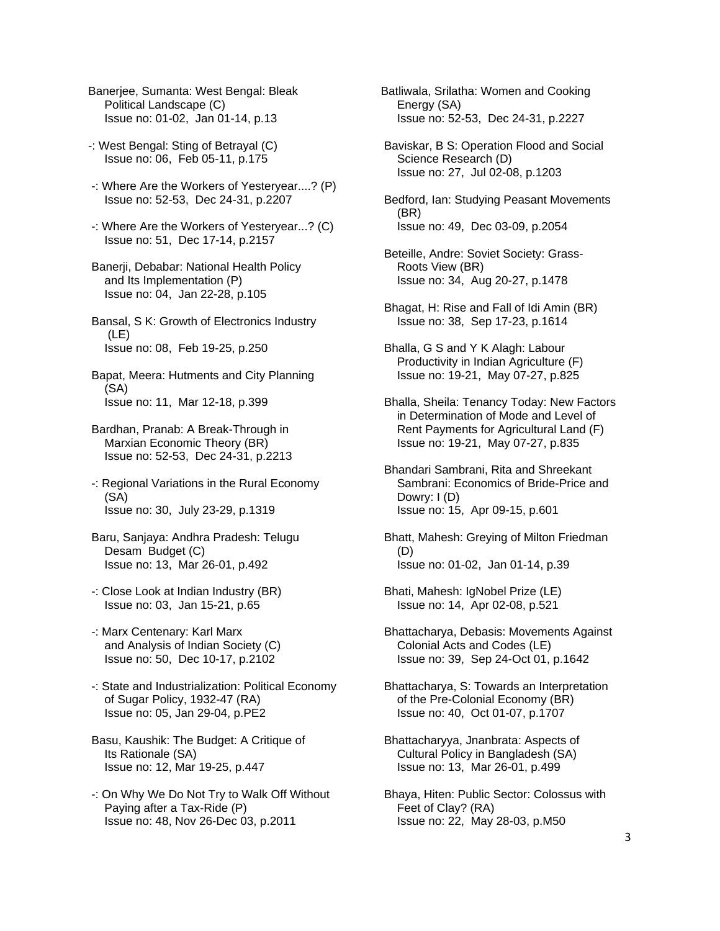- Banerjee, Sumanta: West Bengal: Bleak Political Landscape (C) Issue no: 01-02, Jan 01-14, p.13
- -: West Bengal: Sting of Betrayal (C) Issue no: 06, Feb 05-11, p.175
- -: Where Are the Workers of Yesteryear....? (P) Issue no: 52-53, Dec 24-31, p.2207
- -: Where Are the Workers of Yesteryear...? (C) Issue no: 51, Dec 17-14, p.2157
- Banerji, Debabar: National Health Policy and Its Implementation (P) Issue no: 04, Jan 22-28, p.105
- Bansal, S K: Growth of Electronics Industry (LE) Issue no: 08, Feb 19-25, p.250
- Bapat, Meera: Hutments and City Planning (SA) Issue no: 11, Mar 12-18, p.399
- Bardhan, Pranab: A Break-Through in Marxian Economic Theory (BR) Issue no: 52-53, Dec 24-31, p.2213
- -: Regional Variations in the Rural Economy (SA) Issue no: 30, July 23-29, p.1319
- Baru, Sanjaya: Andhra Pradesh: Telugu Desam Budget (C) Issue no: 13, Mar 26-01, p.492
- -: Close Look at Indian Industry (BR) Issue no: 03, Jan 15-21, p.65
- -: Marx Centenary: Karl Marx and Analysis of Indian Society (C) Issue no: 50, Dec 10-17, p.2102
- -: State and Industrialization: Political Economy of Sugar Policy, 1932-47 (RA) Issue no: 05, Jan 29-04, p.PE2
- Basu, Kaushik: The Budget: A Critique of Its Rationale (SA) Issue no: 12, Mar 19-25, p.447
- -: On Why We Do Not Try to Walk Off Without Paying after a Tax-Ride (P) Issue no: 48, Nov 26-Dec 03, p.2011

Batliwala, Srilatha: Women and Cooking Energy (SA) Issue no: 52-53, Dec 24-31, p.2227

- Baviskar, B S: Operation Flood and Social Science Research (D) Issue no: 27, Jul 02-08, p.1203
- Bedford, Ian: Studying Peasant Movements (BR) Issue no: 49, Dec 03-09, p.2054
- Beteille, Andre: Soviet Society: Grass- Roots View (BR) Issue no: 34, Aug 20-27, p.1478
- Bhagat, H: Rise and Fall of Idi Amin (BR) Issue no: 38, Sep 17-23, p.1614
- Bhalla, G S and Y K Alagh: Labour Productivity in Indian Agriculture (F) Issue no: 19-21, May 07-27, p.825
- Bhalla, Sheila: Tenancy Today: New Factors in Determination of Mode and Level of Rent Payments for Agricultural Land (F) Issue no: 19-21, May 07-27, p.835
- Bhandari Sambrani, Rita and Shreekant Sambrani: Economics of Bride-Price and Dowry: I (D) Issue no: 15, Apr 09-15, p.601
- Bhatt, Mahesh: Greying of Milton Friedman (D) Issue no: 01-02, Jan 01-14, p.39
- Bhati, Mahesh: IgNobel Prize (LE) Issue no: 14, Apr 02-08, p.521
- Bhattacharya, Debasis: Movements Against Colonial Acts and Codes (LE) Issue no: 39, Sep 24-Oct 01, p.1642
- Bhattacharya, S: Towards an Interpretation of the Pre-Colonial Economy (BR) Issue no: 40, Oct 01-07, p.1707
- Bhattacharyya, Jnanbrata: Aspects of Cultural Policy in Bangladesh (SA) Issue no: 13, Mar 26-01, p.499
- Bhaya, Hiten: Public Sector: Colossus with Feet of Clay? (RA) Issue no: 22, May 28-03, p.M50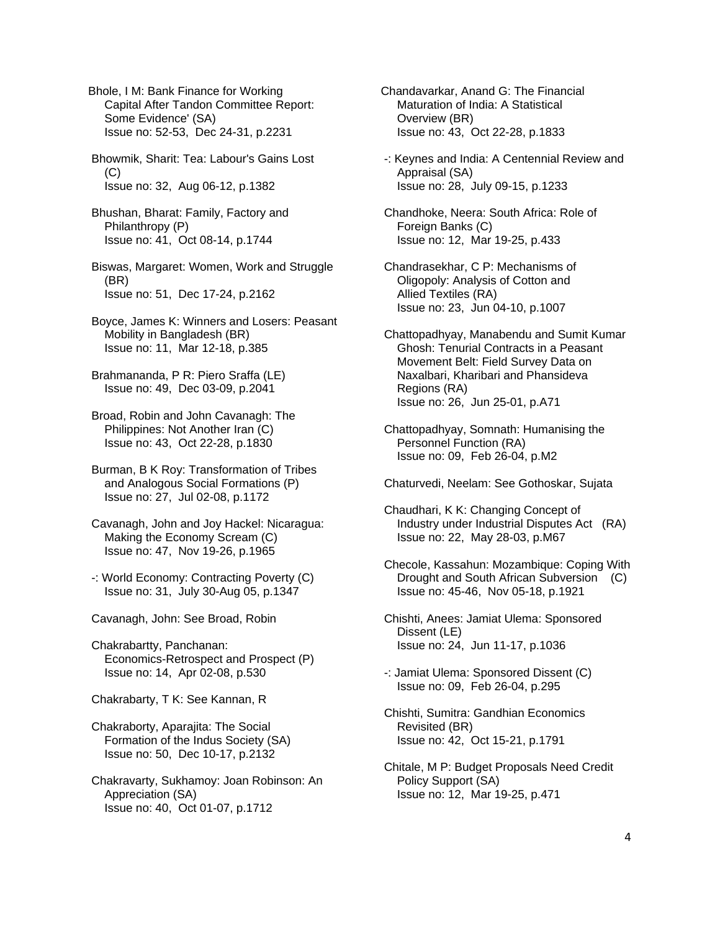Bhole, I M: Bank Finance for Working Capital After Tandon Committee Report: Some Evidence' (SA) Issue no: 52-53, Dec 24-31, p.2231

 Bhowmik, Sharit: Tea: Labour's Gains Lost (C) Issue no: 32, Aug 06-12, p.1382

 Bhushan, Bharat: Family, Factory and Philanthropy (P) Issue no: 41, Oct 08-14, p.1744

 Biswas, Margaret: Women, Work and Struggle (BR) Issue no: 51, Dec 17-24, p.2162

 Boyce, James K: Winners and Losers: Peasant Mobility in Bangladesh (BR) Issue no: 11, Mar 12-18, p.385

 Brahmananda, P R: Piero Sraffa (LE) Issue no: 49, Dec 03-09, p.2041

 Broad, Robin and John Cavanagh: The Philippines: Not Another Iran (C) Issue no: 43, Oct 22-28, p.1830

 Burman, B K Roy: Transformation of Tribes and Analogous Social Formations (P) Issue no: 27, Jul 02-08, p.1172

 Cavanagh, John and Joy Hackel: Nicaragua: Making the Economy Scream (C) Issue no: 47, Nov 19-26, p.1965

 -: World Economy: Contracting Poverty (C) Issue no: 31, July 30-Aug 05, p.1347

Cavanagh, John: See Broad, Robin

 Chakrabartty, Panchanan: Economics-Retrospect and Prospect (P) Issue no: 14, Apr 02-08, p.530

Chakrabarty, T K: See Kannan, R

 Chakraborty, Aparajita: The Social Formation of the Indus Society (SA) Issue no: 50, Dec 10-17, p.2132

 Chakravarty, Sukhamoy: Joan Robinson: An Appreciation (SA) Issue no: 40, Oct 01-07, p.1712

Chandavarkar, Anand G: The Financial Maturation of India: A Statistical Overview (BR) Issue no: 43, Oct 22-28, p.1833

 -: Keynes and India: A Centennial Review and Appraisal (SA) Issue no: 28, July 09-15, p.1233

 Chandhoke, Neera: South Africa: Role of Foreign Banks (C) Issue no: 12, Mar 19-25, p.433

 Chandrasekhar, C P: Mechanisms of Oligopoly: Analysis of Cotton and Allied Textiles (RA) Issue no: 23, Jun 04-10, p.1007

 Chattopadhyay, Manabendu and Sumit Kumar Ghosh: Tenurial Contracts in a Peasant Movement Belt: Field Survey Data on Naxalbari, Kharibari and Phansideva Regions (RA) Issue no: 26, Jun 25-01, p.A71

 Chattopadhyay, Somnath: Humanising the Personnel Function (RA) Issue no: 09, Feb 26-04, p.M2

Chaturvedi, Neelam: See Gothoskar, Sujata

 Chaudhari, K K: Changing Concept of Industry under Industrial Disputes Act (RA) Issue no: 22, May 28-03, p.M67

 Checole, Kassahun: Mozambique: Coping With Drought and South African Subversion (C) Issue no: 45-46, Nov 05-18, p.1921

 Chishti, Anees: Jamiat Ulema: Sponsored Dissent (LE) Issue no: 24, Jun 11-17, p.1036

 -: Jamiat Ulema: Sponsored Dissent (C) Issue no: 09, Feb 26-04, p.295

 Chishti, Sumitra: Gandhian Economics Revisited (BR) Issue no: 42, Oct 15-21, p.1791

 Chitale, M P: Budget Proposals Need Credit Policy Support (SA) Issue no: 12, Mar 19-25, p.471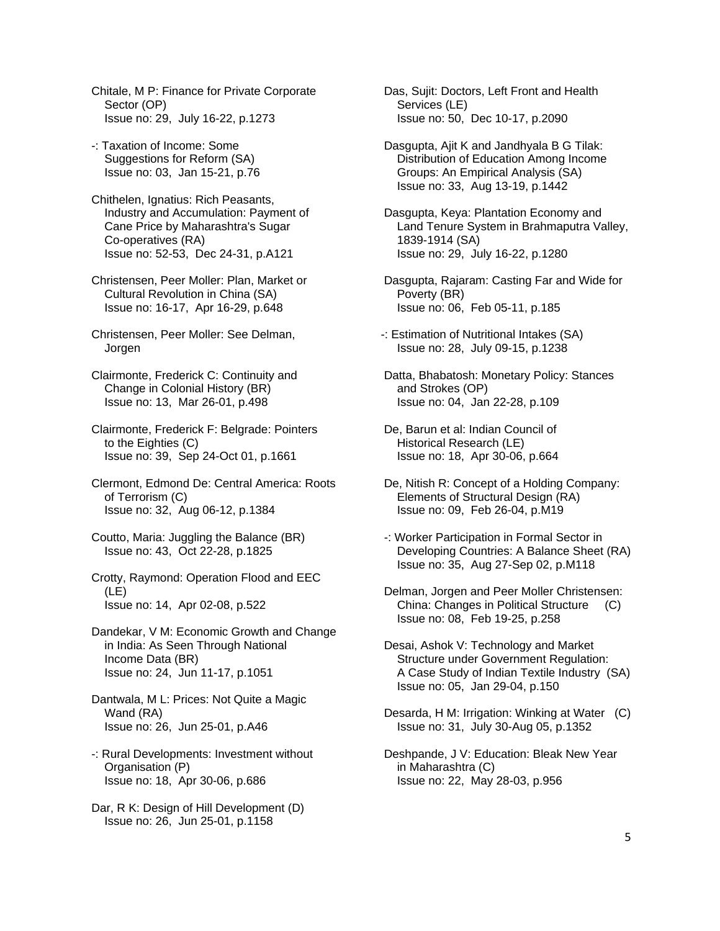Chitale, M P: Finance for Private Corporate Sector (OP) Issue no: 29, July 16-22, p.1273

- -: Taxation of Income: Some Suggestions for Reform (SA) Issue no: 03, Jan 15-21, p.76
- Chithelen, Ignatius: Rich Peasants, Industry and Accumulation: Payment of Cane Price by Maharashtra's Sugar Co-operatives (RA) Issue no: 52-53, Dec 24-31, p.A121
- Christensen, Peer Moller: Plan, Market or Cultural Revolution in China (SA) Issue no: 16-17, Apr 16-29, p.648
- Christensen, Peer Moller: See Delman, Jorgen
- Clairmonte, Frederick C: Continuity and Change in Colonial History (BR) Issue no: 13, Mar 26-01, p.498
- Clairmonte, Frederick F: Belgrade: Pointers to the Eighties (C) Issue no: 39, Sep 24-Oct 01, p.1661
- Clermont, Edmond De: Central America: Roots of Terrorism (C) Issue no: 32, Aug 06-12, p.1384
- Coutto, Maria: Juggling the Balance (BR) Issue no: 43, Oct 22-28, p.1825
- Crotty, Raymond: Operation Flood and EEC (LE) Issue no: 14, Apr 02-08, p.522
- Dandekar, V M: Economic Growth and Change in India: As Seen Through National Income Data (BR) Issue no: 24, Jun 11-17, p.1051
- Dantwala, M L: Prices: Not Quite a Magic Wand (RA) Issue no: 26, Jun 25-01, p.A46
- -: Rural Developments: Investment without Organisation (P) Issue no: 18, Apr 30-06, p.686
- Dar, R K: Design of Hill Development (D) Issue no: 26, Jun 25-01, p.1158

 Das, Sujit: Doctors, Left Front and Health Services (LE) Issue no: 50, Dec 10-17, p.2090

- Dasgupta, Ajit K and Jandhyala B G Tilak: Distribution of Education Among Income Groups: An Empirical Analysis (SA) Issue no: 33, Aug 13-19, p.1442
- Dasgupta, Keya: Plantation Economy and Land Tenure System in Brahmaputra Valley, 1839-1914 (SA) Issue no: 29, July 16-22, p.1280
- Dasgupta, Rajaram: Casting Far and Wide for Poverty (BR) Issue no: 06, Feb 05-11, p.185
- -: Estimation of Nutritional Intakes (SA) Issue no: 28, July 09-15, p.1238
- Datta, Bhabatosh: Monetary Policy: Stances and Strokes (OP) Issue no: 04, Jan 22-28, p.109
- De, Barun et al: Indian Council of Historical Research (LE) Issue no: 18, Apr 30-06, p.664
- De, Nitish R: Concept of a Holding Company: Elements of Structural Design (RA) Issue no: 09, Feb 26-04, p.M19
- -: Worker Participation in Formal Sector in Developing Countries: A Balance Sheet (RA) Issue no: 35, Aug 27-Sep 02, p.M118
- Delman, Jorgen and Peer Moller Christensen: China: Changes in Political Structure (C) Issue no: 08, Feb 19-25, p.258
- Desai, Ashok V: Technology and Market Structure under Government Regulation: A Case Study of Indian Textile Industry (SA) Issue no: 05, Jan 29-04, p.150
- Desarda, H M: Irrigation: Winking at Water (C) Issue no: 31, July 30-Aug 05, p.1352
- Deshpande, J V: Education: Bleak New Year in Maharashtra (C) Issue no: 22, May 28-03, p.956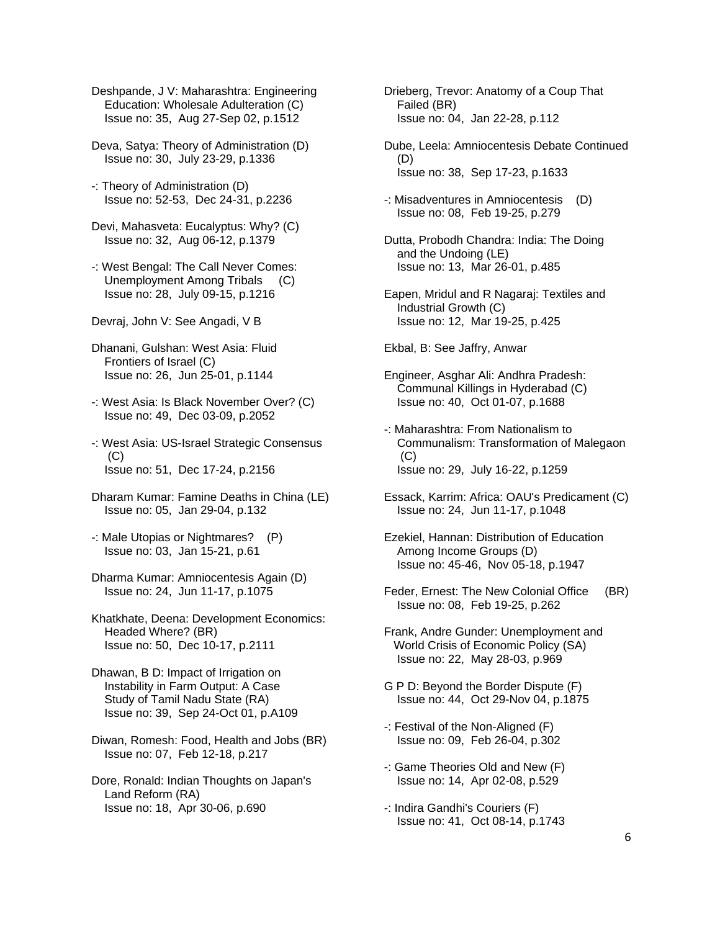- Deshpande, J V: Maharashtra: Engineering Education: Wholesale Adulteration (C) Issue no: 35, Aug 27-Sep 02, p.1512
- Deva, Satya: Theory of Administration (D) Issue no: 30, July 23-29, p.1336
- -: Theory of Administration (D) Issue no: 52-53, Dec 24-31, p.2236
- Devi, Mahasveta: Eucalyptus: Why? (C) Issue no: 32, Aug 06-12, p.1379
- -: West Bengal: The Call Never Comes: Unemployment Among Tribals (C) Issue no: 28, July 09-15, p.1216
- Devraj, John V: See Angadi, V B
- Dhanani, Gulshan: West Asia: Fluid Frontiers of Israel (C) Issue no: 26, Jun 25-01, p.1144
- -: West Asia: Is Black November Over? (C) Issue no: 49, Dec 03-09, p.2052
- -: West Asia: US-Israel Strategic Consensus (C) Issue no: 51, Dec 17-24, p.2156
- Dharam Kumar: Famine Deaths in China (LE) Issue no: 05, Jan 29-04, p.132
- -: Male Utopias or Nightmares? (P) Issue no: 03, Jan 15-21, p.61
- Dharma Kumar: Amniocentesis Again (D) Issue no: 24, Jun 11-17, p.1075
- Khatkhate, Deena: Development Economics: Headed Where? (BR) Issue no: 50, Dec 10-17, p.2111
- Dhawan, B D: Impact of Irrigation on Instability in Farm Output: A Case Study of Tamil Nadu State (RA) Issue no: 39, Sep 24-Oct 01, p.A109
- Diwan, Romesh: Food, Health and Jobs (BR) Issue no: 07, Feb 12-18, p.217
- Dore, Ronald: Indian Thoughts on Japan's Land Reform (RA) Issue no: 18, Apr 30-06, p.690
- Drieberg, Trevor: Anatomy of a Coup That Failed (BR) Issue no: 04, Jan 22-28, p.112
- Dube, Leela: Amniocentesis Debate Continued (D) Issue no: 38, Sep 17-23, p.1633
- -: Misadventures in Amniocentesis (D) Issue no: 08, Feb 19-25, p.279
- Dutta, Probodh Chandra: India: The Doing and the Undoing (LE) Issue no: 13, Mar 26-01, p.485
- Eapen, Mridul and R Nagaraj: Textiles and Industrial Growth (C) Issue no: 12, Mar 19-25, p.425
- Ekbal, B: See Jaffry, Anwar
- Engineer, Asghar Ali: Andhra Pradesh: Communal Killings in Hyderabad (C) Issue no: 40, Oct 01-07, p.1688
- -: Maharashtra: From Nationalism to Communalism: Transformation of Malegaon  $(C)$ Issue no: 29, July 16-22, p.1259
- Essack, Karrim: Africa: OAU's Predicament (C) Issue no: 24, Jun 11-17, p.1048
- Ezekiel, Hannan: Distribution of Education Among Income Groups (D) Issue no: 45-46, Nov 05-18, p.1947
- Feder, Ernest: The New Colonial Office (BR) Issue no: 08, Feb 19-25, p.262
- Frank, Andre Gunder: Unemployment and World Crisis of Economic Policy (SA) Issue no: 22, May 28-03, p.969
- G P D: Beyond the Border Dispute (F) Issue no: 44, Oct 29-Nov 04, p.1875
- -: Festival of the Non-Aligned (F) Issue no: 09, Feb 26-04, p.302
- -: Game Theories Old and New (F) Issue no: 14, Apr 02-08, p.529
- -: Indira Gandhi's Couriers (F) Issue no: 41, Oct 08-14, p.1743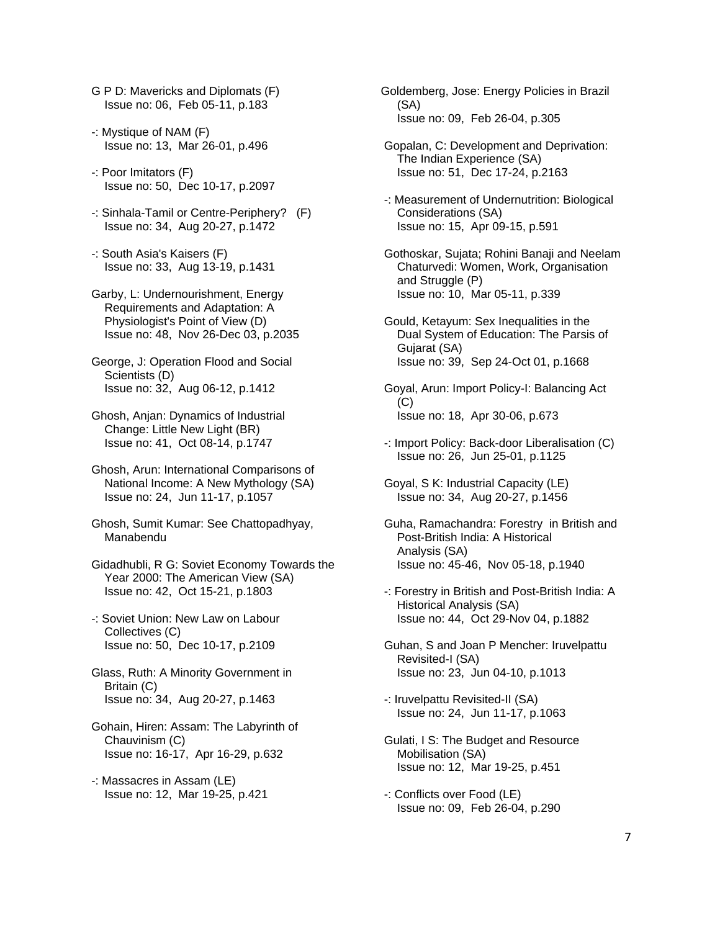- G P D: Mavericks and Diplomats (F) Issue no: 06, Feb 05-11, p.183
- -: Mystique of NAM (F) Issue no: 13, Mar 26-01, p.496
- -: Poor Imitators (F) Issue no: 50, Dec 10-17, p.2097
- -: Sinhala-Tamil or Centre-Periphery? (F) Issue no: 34, Aug 20-27, p.1472
- -: South Asia's Kaisers (F) Issue no: 33, Aug 13-19, p.1431
- Garby, L: Undernourishment, Energy Requirements and Adaptation: A Physiologist's Point of View (D) Issue no: 48, Nov 26-Dec 03, p.2035
- George, J: Operation Flood and Social Scientists (D) Issue no: 32, Aug 06-12, p.1412
- Ghosh, Anjan: Dynamics of Industrial Change: Little New Light (BR) Issue no: 41, Oct 08-14, p.1747
- Ghosh, Arun: International Comparisons of National Income: A New Mythology (SA) Issue no: 24, Jun 11-17, p.1057
- Ghosh, Sumit Kumar: See Chattopadhyay, Manabendu
- Gidadhubli, R G: Soviet Economy Towards the Year 2000: The American View (SA) Issue no: 42, Oct 15-21, p.1803
- -: Soviet Union: New Law on Labour Collectives (C) Issue no: 50, Dec 10-17, p.2109
- Glass, Ruth: A Minority Government in Britain (C) Issue no: 34, Aug 20-27, p.1463
- Gohain, Hiren: Assam: The Labyrinth of Chauvinism (C) Issue no: 16-17, Apr 16-29, p.632
- -: Massacres in Assam (LE) Issue no: 12, Mar 19-25, p.421
- Goldemberg, Jose: Energy Policies in Brazil (SA) Issue no: 09, Feb 26-04, p.305
- Gopalan, C: Development and Deprivation: The Indian Experience (SA) Issue no: 51, Dec 17-24, p.2163
- -: Measurement of Undernutrition: Biological Considerations (SA) Issue no: 15, Apr 09-15, p.591
- Gothoskar, Sujata; Rohini Banaji and Neelam Chaturvedi: Women, Work, Organisation and Struggle (P) Issue no: 10, Mar 05-11, p.339
- Gould, Ketayum: Sex Inequalities in the Dual System of Education: The Parsis of Gujarat (SA) Issue no: 39, Sep 24-Oct 01, p.1668
- Goyal, Arun: Import Policy-I: Balancing Act  $(C)$ Issue no: 18, Apr 30-06, p.673
- -: Import Policy: Back-door Liberalisation (C) Issue no: 26, Jun 25-01, p.1125
- Goyal, S K: Industrial Capacity (LE) Issue no: 34, Aug 20-27, p.1456
- Guha, Ramachandra: Forestry in British and Post-British India: A Historical Analysis (SA) Issue no: 45-46, Nov 05-18, p.1940
- -: Forestry in British and Post-British India: A Historical Analysis (SA) Issue no: 44, Oct 29-Nov 04, p.1882
- Guhan, S and Joan P Mencher: Iruvelpattu Revisited-I (SA) Issue no: 23, Jun 04-10, p.1013
- -: Iruvelpattu Revisited-II (SA) Issue no: 24, Jun 11-17, p.1063
- Gulati, I S: The Budget and Resource Mobilisation (SA) Issue no: 12, Mar 19-25, p.451
- -: Conflicts over Food (LE) Issue no: 09, Feb 26-04, p.290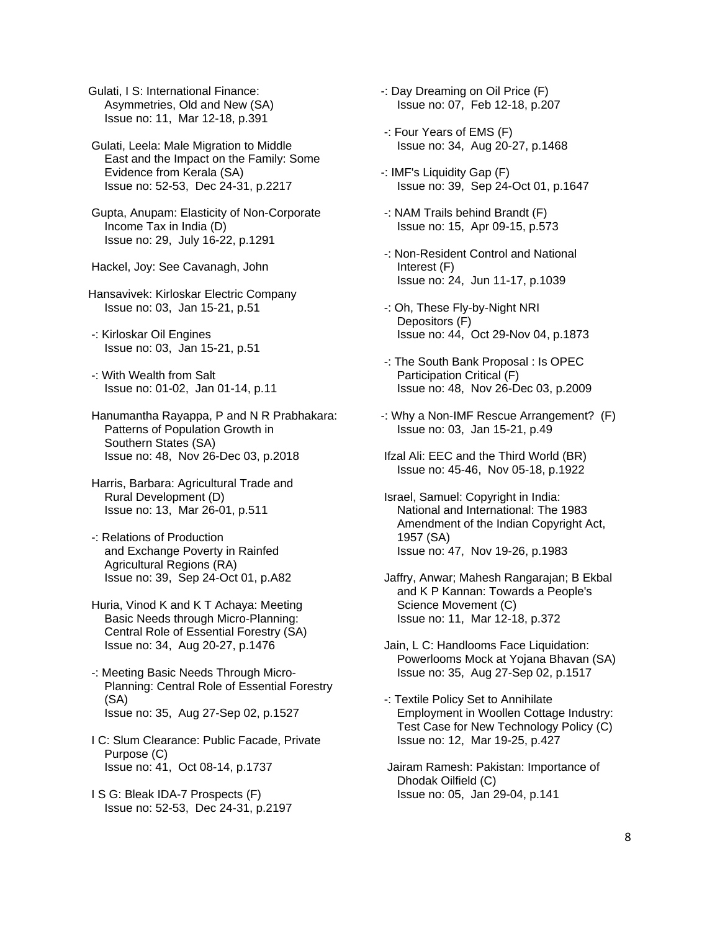Gulati, I S: International Finance: Asymmetries, Old and New (SA) Issue no: 11, Mar 12-18, p.391

 Gulati, Leela: Male Migration to Middle East and the Impact on the Family: Some Evidence from Kerala (SA) Issue no: 52-53, Dec 24-31, p.2217

 Gupta, Anupam: Elasticity of Non-Corporate Income Tax in India (D) Issue no: 29, July 16-22, p.1291

Hackel, Joy: See Cavanagh, John

Hansavivek: Kirloskar Electric Company Issue no: 03, Jan 15-21, p.51

 -: Kirloskar Oil Engines Issue no: 03, Jan 15-21, p.51

 -: With Wealth from Salt Issue no: 01-02, Jan 01-14, p.11

 Hanumantha Rayappa, P and N R Prabhakara: Patterns of Population Growth in Southern States (SA) Issue no: 48, Nov 26-Dec 03, p.2018

 Harris, Barbara: Agricultural Trade and Rural Development (D) Issue no: 13, Mar 26-01, p.511

 -: Relations of Production and Exchange Poverty in Rainfed Agricultural Regions (RA) Issue no: 39, Sep 24-Oct 01, p.A82

 Huria, Vinod K and K T Achaya: Meeting Basic Needs through Micro-Planning: Central Role of Essential Forestry (SA) Issue no: 34, Aug 20-27, p.1476

 -: Meeting Basic Needs Through Micro- Planning: Central Role of Essential Forestry (SA) Issue no: 35, Aug 27-Sep 02, p.1527

 I C: Slum Clearance: Public Facade, Private Purpose (C) Issue no: 41, Oct 08-14, p.1737

 I S G: Bleak IDA-7 Prospects (F) Issue no: 52-53, Dec 24-31, p.2197 -: Day Dreaming on Oil Price (F) Issue no: 07, Feb 12-18, p.207

 -: Four Years of EMS (F) Issue no: 34, Aug 20-27, p.1468

-: IMF's Liquidity Gap (F) Issue no: 39, Sep 24-Oct 01, p.1647

 -: NAM Trails behind Brandt (F) Issue no: 15, Apr 09-15, p.573

 -: Non-Resident Control and National Interest (F) Issue no: 24, Jun 11-17, p.1039

 -: Oh, These Fly-by-Night NRI Depositors (F) Issue no: 44, Oct 29-Nov 04, p.1873

 -: The South Bank Proposal : Is OPEC Participation Critical (F) Issue no: 48, Nov 26-Dec 03, p.2009

-: Why a Non-IMF Rescue Arrangement? (F) Issue no: 03, Jan 15-21, p.49

 Ifzal Ali: EEC and the Third World (BR) Issue no: 45-46, Nov 05-18, p.1922

 Israel, Samuel: Copyright in India: National and International: The 1983 Amendment of the Indian Copyright Act, 1957 (SA) Issue no: 47, Nov 19-26, p.1983

 Jaffry, Anwar; Mahesh Rangarajan; B Ekbal and K P Kannan: Towards a People's Science Movement (C) Issue no: 11, Mar 12-18, p.372

 Jain, L C: Handlooms Face Liquidation: Powerlooms Mock at Yojana Bhavan (SA) Issue no: 35, Aug 27-Sep 02, p.1517

 -: Textile Policy Set to Annihilate Employment in Woollen Cottage Industry: Test Case for New Technology Policy (C) Issue no: 12, Mar 19-25, p.427

 Jairam Ramesh: Pakistan: Importance of Dhodak Oilfield (C) Issue no: 05, Jan 29-04, p.141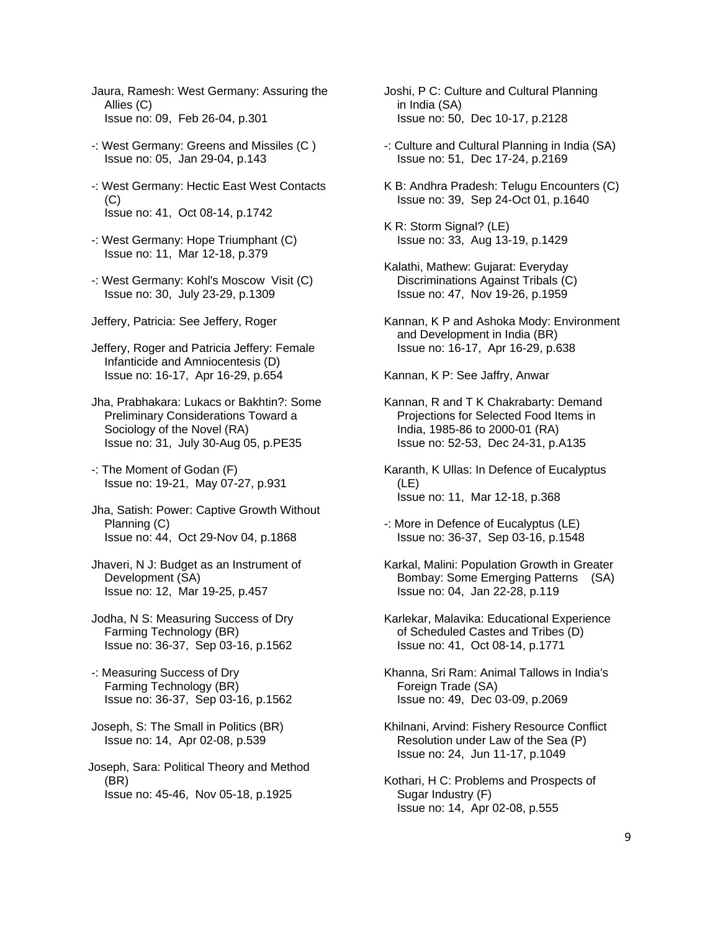- Jaura, Ramesh: West Germany: Assuring the Allies (C) Issue no: 09, Feb 26-04, p.301
- -: West Germany: Greens and Missiles (C ) Issue no: 05, Jan 29-04, p.143
- -: West Germany: Hectic East West Contacts (C) Issue no: 41, Oct 08-14, p.1742
- -: West Germany: Hope Triumphant (C) Issue no: 11, Mar 12-18, p.379
- -: West Germany: Kohl's Moscow Visit (C) Issue no: 30, July 23-29, p.1309
- Jeffery, Patricia: See Jeffery, Roger

 Jeffery, Roger and Patricia Jeffery: Female Infanticide and Amniocentesis (D) Issue no: 16-17, Apr 16-29, p.654

 Jha, Prabhakara: Lukacs or Bakhtin?: Some Preliminary Considerations Toward a Sociology of the Novel (RA) Issue no: 31, July 30-Aug 05, p.PE35

 -: The Moment of Godan (F) Issue no: 19-21, May 07-27, p.931

- Jha, Satish: Power: Captive Growth Without Planning (C) Issue no: 44, Oct 29-Nov 04, p.1868
- Jhaveri, N J: Budget as an Instrument of Development (SA) Issue no: 12, Mar 19-25, p.457
- Jodha, N S: Measuring Success of Dry Farming Technology (BR) Issue no: 36-37, Sep 03-16, p.1562

 -: Measuring Success of Dry Farming Technology (BR) Issue no: 36-37, Sep 03-16, p.1562

 Joseph, S: The Small in Politics (BR) Issue no: 14, Apr 02-08, p.539

Joseph, Sara: Political Theory and Method (BR) Issue no: 45-46, Nov 05-18, p.1925

- Joshi, P C: Culture and Cultural Planning in India (SA) Issue no: 50, Dec 10-17, p.2128
- -: Culture and Cultural Planning in India (SA) Issue no: 51, Dec 17-24, p.2169
- K B: Andhra Pradesh: Telugu Encounters (C) Issue no: 39, Sep 24-Oct 01, p.1640
- K R: Storm Signal? (LE) Issue no: 33, Aug 13-19, p.1429
- Kalathi, Mathew: Gujarat: Everyday Discriminations Against Tribals (C) Issue no: 47, Nov 19-26, p.1959
- Kannan, K P and Ashoka Mody: Environment and Development in India (BR) Issue no: 16-17, Apr 16-29, p.638

Kannan, K P: See Jaffry, Anwar

- Kannan, R and T K Chakrabarty: Demand Projections for Selected Food Items in India, 1985-86 to 2000-01 (RA) Issue no: 52-53, Dec 24-31, p.A135
- Karanth, K Ullas: In Defence of Eucalyptus (LE) Issue no: 11, Mar 12-18, p.368
- -: More in Defence of Eucalyptus (LE) Issue no: 36-37, Sep 03-16, p.1548
- Karkal, Malini: Population Growth in Greater Bombay: Some Emerging Patterns (SA) Issue no: 04, Jan 22-28, p.119
- Karlekar, Malavika: Educational Experience of Scheduled Castes and Tribes (D) Issue no: 41, Oct 08-14, p.1771
- Khanna, Sri Ram: Animal Tallows in India's Foreign Trade (SA) Issue no: 49, Dec 03-09, p.2069
- Khilnani, Arvind: Fishery Resource Conflict Resolution under Law of the Sea (P) Issue no: 24, Jun 11-17, p.1049
- Kothari, H C: Problems and Prospects of Sugar Industry (F) Issue no: 14, Apr 02-08, p.555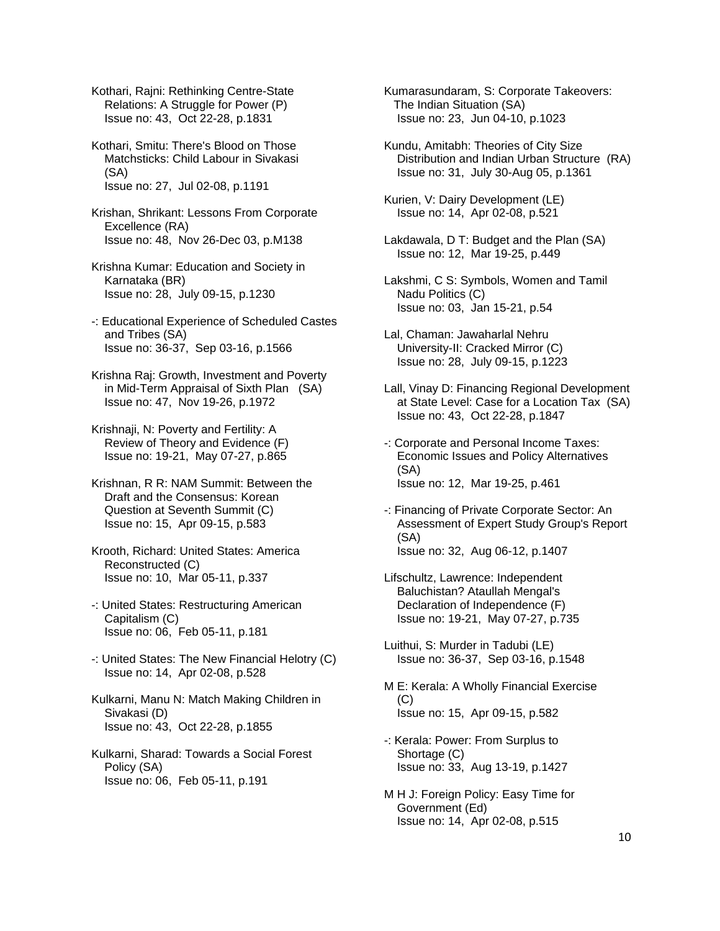Kothari, Rajni: Rethinking Centre-State Relations: A Struggle for Power (P) Issue no: 43, Oct 22-28, p.1831

 Kothari, Smitu: There's Blood on Those Matchsticks: Child Labour in Sivakasi (SA) Issue no: 27, Jul 02-08, p.1191

 Krishan, Shrikant: Lessons From Corporate Excellence (RA) Issue no: 48, Nov 26-Dec 03, p.M138

 Krishna Kumar: Education and Society in Karnataka (BR) Issue no: 28, July 09-15, p.1230

 -: Educational Experience of Scheduled Castes and Tribes (SA) Issue no: 36-37, Sep 03-16, p.1566

 Krishna Raj: Growth, Investment and Poverty in Mid-Term Appraisal of Sixth Plan (SA) Issue no: 47, Nov 19-26, p.1972

 Krishnaji, N: Poverty and Fertility: A Review of Theory and Evidence (F) Issue no: 19-21, May 07-27, p.865

 Krishnan, R R: NAM Summit: Between the Draft and the Consensus: Korean Question at Seventh Summit (C) Issue no: 15, Apr 09-15, p.583

 Krooth, Richard: United States: America Reconstructed (C) Issue no: 10, Mar 05-11, p.337

 -: United States: Restructuring American Capitalism (C) Issue no: 06, Feb 05-11, p.181

 -: United States: The New Financial Helotry (C) Issue no: 14, Apr 02-08, p.528

 Kulkarni, Manu N: Match Making Children in Sivakasi (D) Issue no: 43, Oct 22-28, p.1855

 Kulkarni, Sharad: Towards a Social Forest Policy (SA) Issue no: 06, Feb 05-11, p.191

 Kumarasundaram, S: Corporate Takeovers: The Indian Situation (SA) Issue no: 23, Jun 04-10, p.1023

 Kundu, Amitabh: Theories of City Size Distribution and Indian Urban Structure (RA) Issue no: 31, July 30-Aug 05, p.1361

 Kurien, V: Dairy Development (LE) Issue no: 14, Apr 02-08, p.521

 Lakdawala, D T: Budget and the Plan (SA) Issue no: 12, Mar 19-25, p.449

 Lakshmi, C S: Symbols, Women and Tamil Nadu Politics (C) Issue no: 03, Jan 15-21, p.54

 Lal, Chaman: Jawaharlal Nehru University-II: Cracked Mirror (C) Issue no: 28, July 09-15, p.1223

 Lall, Vinay D: Financing Regional Development at State Level: Case for a Location Tax (SA) Issue no: 43, Oct 22-28, p.1847

 -: Corporate and Personal Income Taxes: Economic Issues and Policy Alternatives (SA) Issue no: 12, Mar 19-25, p.461

 -: Financing of Private Corporate Sector: An Assessment of Expert Study Group's Report (SA) Issue no: 32, Aug 06-12, p.1407

 Lifschultz, Lawrence: Independent Baluchistan? Ataullah Mengal's Declaration of Independence (F) Issue no: 19-21, May 07-27, p.735

 Luithui, S: Murder in Tadubi (LE) Issue no: 36-37, Sep 03-16, p.1548

 M E: Kerala: A Wholly Financial Exercise  $(C)$ Issue no: 15, Apr 09-15, p.582

- -: Kerala: Power: From Surplus to Shortage (C) Issue no: 33, Aug 13-19, p.1427
- M H J: Foreign Policy: Easy Time for Government (Ed) Issue no: 14, Apr 02-08, p.515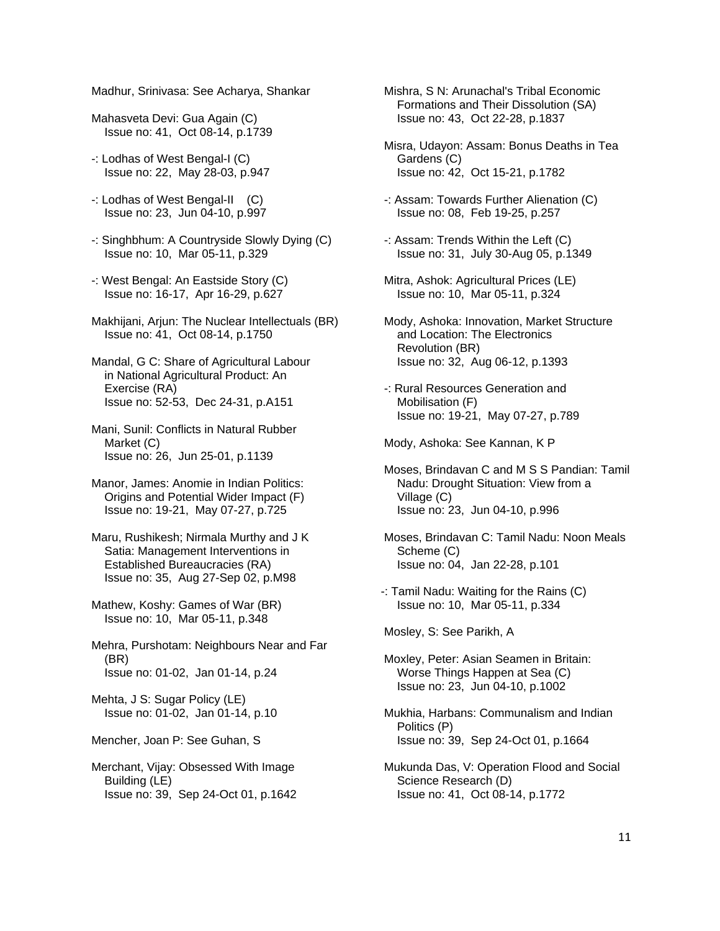Madhur, Srinivasa: See Acharya, Shankar

- Mahasveta Devi: Gua Again (C) Issue no: 41, Oct 08-14, p.1739
- -: Lodhas of West Bengal-I (C) Issue no: 22, May 28-03, p.947
- -: Lodhas of West Bengal-II (C) Issue no: 23, Jun 04-10, p.997
- -: Singhbhum: A Countryside Slowly Dying (C) Issue no: 10, Mar 05-11, p.329
- -: West Bengal: An Eastside Story (C) Issue no: 16-17, Apr 16-29, p.627
- Makhijani, Arjun: The Nuclear Intellectuals (BR) Issue no: 41, Oct 08-14, p.1750
- Mandal, G C: Share of Agricultural Labour in National Agricultural Product: An Exercise (RA) Issue no: 52-53, Dec 24-31, p.A151
- Mani, Sunil: Conflicts in Natural Rubber Market (C) Issue no: 26, Jun 25-01, p.1139
- Manor, James: Anomie in Indian Politics: Origins and Potential Wider Impact (F) Issue no: 19-21, May 07-27, p.725
- Maru, Rushikesh; Nirmala Murthy and J K Satia: Management Interventions in Established Bureaucracies (RA) Issue no: 35, Aug 27-Sep 02, p.M98
- Mathew, Koshy: Games of War (BR) Issue no: 10, Mar 05-11, p.348
- Mehra, Purshotam: Neighbours Near and Far (BR) Issue no: 01-02, Jan 01-14, p.24
- Mehta, J S: Sugar Policy (LE) Issue no: 01-02, Jan 01-14, p.10
- Mencher, Joan P: See Guhan, S
- Merchant, Vijay: Obsessed With Image Building (LE) Issue no: 39, Sep 24-Oct 01, p.1642

 Mishra, S N: Arunachal's Tribal Economic Formations and Their Dissolution (SA) Issue no: 43, Oct 22-28, p.1837

- Misra, Udayon: Assam: Bonus Deaths in Tea Gardens (C) Issue no: 42, Oct 15-21, p.1782
- -: Assam: Towards Further Alienation (C) Issue no: 08, Feb 19-25, p.257
- -: Assam: Trends Within the Left (C) Issue no: 31, July 30-Aug 05, p.1349
- Mitra, Ashok: Agricultural Prices (LE) Issue no: 10, Mar 05-11, p.324
- Mody, Ashoka: Innovation, Market Structure and Location: The Electronics Revolution (BR) Issue no: 32, Aug 06-12, p.1393
- -: Rural Resources Generation and Mobilisation (F) Issue no: 19-21, May 07-27, p.789

Mody, Ashoka: See Kannan, K P

- Moses, Brindavan C and M S S Pandian: Tamil Nadu: Drought Situation: View from a Village (C) Issue no: 23, Jun 04-10, p.996
- Moses, Brindavan C: Tamil Nadu: Noon Meals Scheme (C) Issue no: 04, Jan 22-28, p.101
- -: Tamil Nadu: Waiting for the Rains (C) Issue no: 10, Mar 05-11, p.334

Mosley, S: See Parikh, A

- Moxley, Peter: Asian Seamen in Britain: Worse Things Happen at Sea (C) Issue no: 23, Jun 04-10, p.1002
- Mukhia, Harbans: Communalism and Indian Politics (P) Issue no: 39, Sep 24-Oct 01, p.1664
- Mukunda Das, V: Operation Flood and Social Science Research (D) Issue no: 41, Oct 08-14, p.1772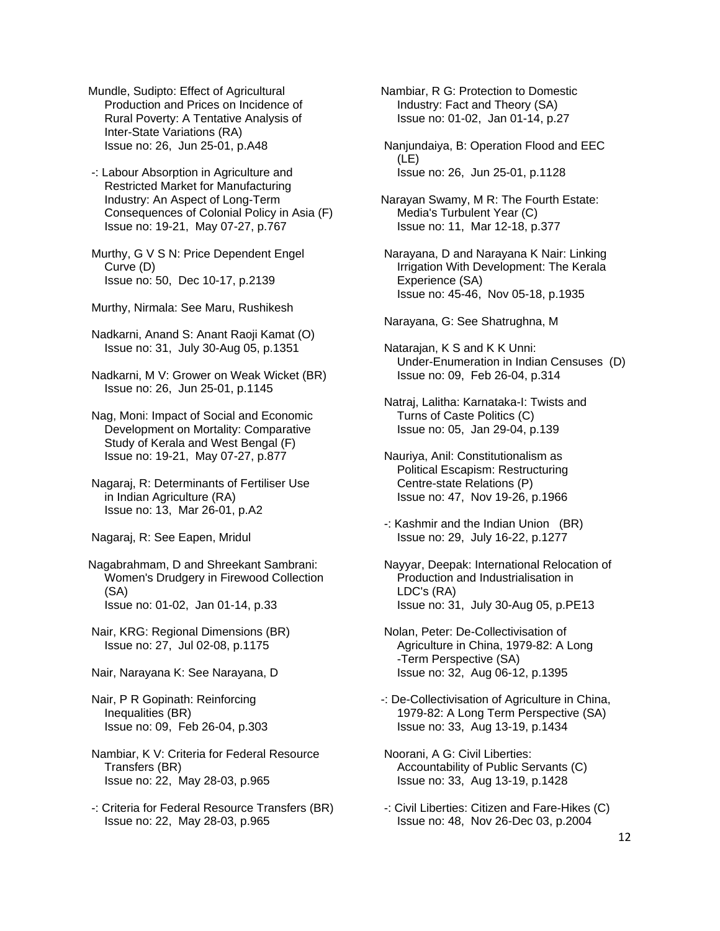Mundle, Sudipto: Effect of Agricultural Production and Prices on Incidence of Rural Poverty: A Tentative Analysis of Inter-State Variations (RA) Issue no: 26, Jun 25-01, p.A48

 -: Labour Absorption in Agriculture and Restricted Market for Manufacturing Industry: An Aspect of Long-Term Consequences of Colonial Policy in Asia (F) Issue no: 19-21, May 07-27, p.767

 Murthy, G V S N: Price Dependent Engel Curve (D) Issue no: 50, Dec 10-17, p.2139

Murthy, Nirmala: See Maru, Rushikesh

 Nadkarni, Anand S: Anant Raoji Kamat (O) Issue no: 31, July 30-Aug 05, p.1351

 Nadkarni, M V: Grower on Weak Wicket (BR) Issue no: 26, Jun 25-01, p.1145

 Nag, Moni: Impact of Social and Economic Development on Mortality: Comparative Study of Kerala and West Bengal (F) Issue no: 19-21, May 07-27, p.877

 Nagaraj, R: Determinants of Fertiliser Use in Indian Agriculture (RA) Issue no: 13, Mar 26-01, p.A2

Nagaraj, R: See Eapen, Mridul

Nagabrahmam, D and Shreekant Sambrani: Women's Drudgery in Firewood Collection (SA) Issue no: 01-02, Jan 01-14, p.33

 Nair, KRG: Regional Dimensions (BR) Issue no: 27, Jul 02-08, p.1175

Nair, Narayana K: See Narayana, D

- Nair, P R Gopinath: Reinforcing Inequalities (BR) Issue no: 09, Feb 26-04, p.303
- Nambiar, K V: Criteria for Federal Resource Transfers (BR) Issue no: 22, May 28-03, p.965
- -: Criteria for Federal Resource Transfers (BR) Issue no: 22, May 28-03, p.965

Nambiar, R G: Protection to Domestic Industry: Fact and Theory (SA) Issue no: 01-02, Jan 01-14, p.27

 Nanjundaiya, B: Operation Flood and EEC (LE) Issue no: 26, Jun 25-01, p.1128

Narayan Swamy, M R: The Fourth Estate: Media's Turbulent Year (C) Issue no: 11, Mar 12-18, p.377

 Narayana, D and Narayana K Nair: Linking Irrigation With Development: The Kerala Experience (SA) Issue no: 45-46, Nov 05-18, p.1935

Narayana, G: See Shatrughna, M

- Natarajan, K S and K K Unni: Under-Enumeration in Indian Censuses (D) Issue no: 09, Feb 26-04, p.314
- Natraj, Lalitha: Karnataka-I: Twists and Turns of Caste Politics (C) Issue no: 05, Jan 29-04, p.139
- Nauriya, Anil: Constitutionalism as Political Escapism: Restructuring Centre-state Relations (P) Issue no: 47, Nov 19-26, p.1966
- -: Kashmir and the Indian Union (BR) Issue no: 29, July 16-22, p.1277

 Nayyar, Deepak: International Relocation of Production and Industrialisation in LDC's (RA) Issue no: 31, July 30-Aug 05, p.PE13

 Nolan, Peter: De-Collectivisation of Agriculture in China, 1979-82: A Long -Term Perspective (SA) Issue no: 32, Aug 06-12, p.1395

- -: De-Collectivisation of Agriculture in China, 1979-82: A Long Term Perspective (SA) Issue no: 33, Aug 13-19, p.1434
- Noorani, A G: Civil Liberties: Accountability of Public Servants (C) Issue no: 33, Aug 13-19, p.1428
- -: Civil Liberties: Citizen and Fare-Hikes (C) Issue no: 48, Nov 26-Dec 03, p.2004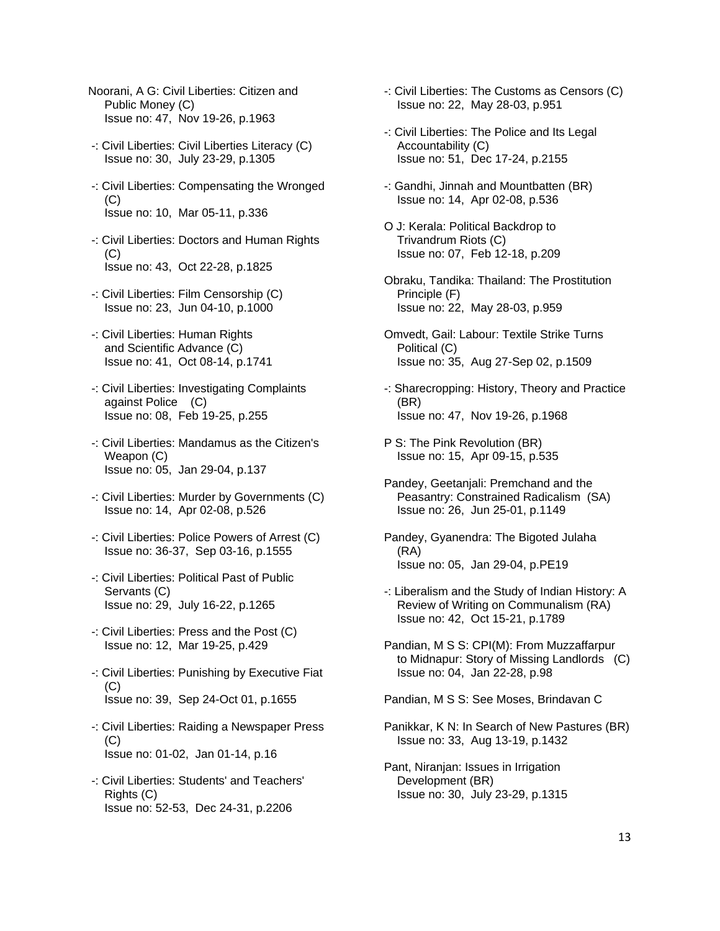- Noorani, A G: Civil Liberties: Citizen and Public Money (C) Issue no: 47, Nov 19-26, p.1963
- -: Civil Liberties: Civil Liberties Literacy (C) Issue no: 30, July 23-29, p.1305
- -: Civil Liberties: Compensating the Wronged (C) Issue no: 10, Mar 05-11, p.336
- -: Civil Liberties: Doctors and Human Rights  $(C)$ Issue no: 43, Oct 22-28, p.1825
- -: Civil Liberties: Film Censorship (C) Issue no: 23, Jun 04-10, p.1000
- -: Civil Liberties: Human Rights and Scientific Advance (C) Issue no: 41, Oct 08-14, p.1741
- -: Civil Liberties: Investigating Complaints against Police (C) Issue no: 08, Feb 19-25, p.255
- -: Civil Liberties: Mandamus as the Citizen's Weapon (C) Issue no: 05, Jan 29-04, p.137
- -: Civil Liberties: Murder by Governments (C) Issue no: 14, Apr 02-08, p.526
- -: Civil Liberties: Police Powers of Arrest (C) Issue no: 36-37, Sep 03-16, p.1555
- -: Civil Liberties: Political Past of Public Servants (C) Issue no: 29, July 16-22, p.1265
- -: Civil Liberties: Press and the Post (C) Issue no: 12, Mar 19-25, p.429
- -: Civil Liberties: Punishing by Executive Fiat (C) Issue no: 39, Sep 24-Oct 01, p.1655
- -: Civil Liberties: Raiding a Newspaper Press  $(C)$ Issue no: 01-02, Jan 01-14, p.16
- -: Civil Liberties: Students' and Teachers' Rights (C) Issue no: 52-53, Dec 24-31, p.2206
- -: Civil Liberties: The Customs as Censors (C) Issue no: 22, May 28-03, p.951
- -: Civil Liberties: The Police and Its Legal Accountability (C) Issue no: 51, Dec 17-24, p.2155
- -: Gandhi, Jinnah and Mountbatten (BR) Issue no: 14, Apr 02-08, p.536
- O J: Kerala: Political Backdrop to Trivandrum Riots (C) Issue no: 07, Feb 12-18, p.209
- Obraku, Tandika: Thailand: The Prostitution Principle (F) Issue no: 22, May 28-03, p.959
- Omvedt, Gail: Labour: Textile Strike Turns Political (C) Issue no: 35, Aug 27-Sep 02, p.1509
- -: Sharecropping: History, Theory and Practice (BR) Issue no: 47, Nov 19-26, p.1968
- P S: The Pink Revolution (BR) Issue no: 15, Apr 09-15, p.535
- Pandey, Geetanjali: Premchand and the Peasantry: Constrained Radicalism (SA) Issue no: 26, Jun 25-01, p.1149
- Pandey, Gyanendra: The Bigoted Julaha (RA) Issue no: 05, Jan 29-04, p.PE19
- -: Liberalism and the Study of Indian History: A Review of Writing on Communalism (RA) Issue no: 42, Oct 15-21, p.1789
- Pandian, M S S: CPI(M): From Muzzaffarpur to Midnapur: Story of Missing Landlords (C) Issue no: 04, Jan 22-28, p.98

Pandian, M S S: See Moses, Brindavan C

- Panikkar, K N: In Search of New Pastures (BR) Issue no: 33, Aug 13-19, p.1432
- Pant, Niranjan: Issues in Irrigation Development (BR) Issue no: 30, July 23-29, p.1315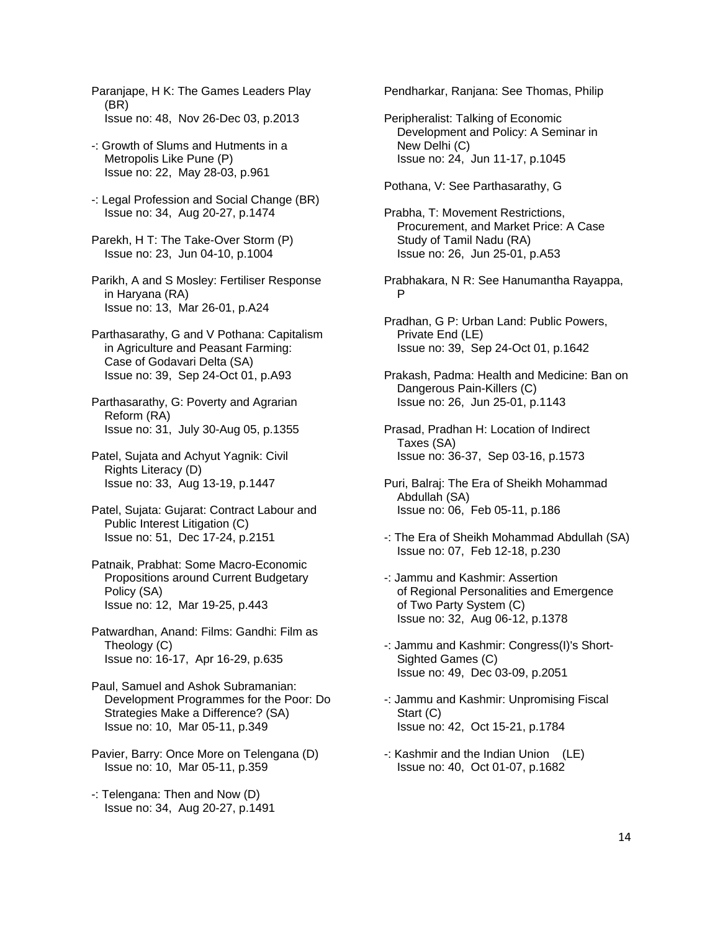Paranjape, H K: The Games Leaders Play (BR) Issue no: 48, Nov 26-Dec 03, p.2013

- -: Growth of Slums and Hutments in a Metropolis Like Pune (P) Issue no: 22, May 28-03, p.961
- -: Legal Profession and Social Change (BR) Issue no: 34, Aug 20-27, p.1474
- Parekh, H T: The Take-Over Storm (P) Issue no: 23, Jun 04-10, p.1004

 Parikh, A and S Mosley: Fertiliser Response in Haryana (RA) Issue no: 13, Mar 26-01, p.A24

- Parthasarathy, G and V Pothana: Capitalism in Agriculture and Peasant Farming: Case of Godavari Delta (SA) Issue no: 39, Sep 24-Oct 01, p.A93
- Parthasarathy, G: Poverty and Agrarian Reform (RA) Issue no: 31, July 30-Aug 05, p.1355

 Patel, Sujata and Achyut Yagnik: Civil Rights Literacy (D) Issue no: 33, Aug 13-19, p.1447

- Patel, Sujata: Gujarat: Contract Labour and Public Interest Litigation (C) Issue no: 51, Dec 17-24, p.2151
- Patnaik, Prabhat: Some Macro-Economic Propositions around Current Budgetary Policy (SA) Issue no: 12, Mar 19-25, p.443
- Patwardhan, Anand: Films: Gandhi: Film as Theology (C) Issue no: 16-17, Apr 16-29, p.635
- Paul, Samuel and Ashok Subramanian: Development Programmes for the Poor: Do Strategies Make a Difference? (SA) Issue no: 10, Mar 05-11, p.349
- Pavier, Barry: Once More on Telengana (D) Issue no: 10, Mar 05-11, p.359
- -: Telengana: Then and Now (D) Issue no: 34, Aug 20-27, p.1491

Pendharkar, Ranjana: See Thomas, Philip

- Peripheralist: Talking of Economic Development and Policy: A Seminar in New Delhi (C) Issue no: 24, Jun 11-17, p.1045
- Pothana, V: See Parthasarathy, G
- Prabha, T: Movement Restrictions, Procurement, and Market Price: A Case Study of Tamil Nadu (RA) Issue no: 26, Jun 25-01, p.A53
- Prabhakara, N R: See Hanumantha Rayappa, P
- Pradhan, G P: Urban Land: Public Powers, Private End (LE) Issue no: 39, Sep 24-Oct 01, p.1642
- Prakash, Padma: Health and Medicine: Ban on Dangerous Pain-Killers (C) Issue no: 26, Jun 25-01, p.1143
- Prasad, Pradhan H: Location of Indirect Taxes (SA) Issue no: 36-37, Sep 03-16, p.1573
- Puri, Balraj: The Era of Sheikh Mohammad Abdullah (SA) Issue no: 06, Feb 05-11, p.186
- -: The Era of Sheikh Mohammad Abdullah (SA) Issue no: 07, Feb 12-18, p.230
- -: Jammu and Kashmir: Assertion of Regional Personalities and Emergence of Two Party System (C) Issue no: 32, Aug 06-12, p.1378
- -: Jammu and Kashmir: Congress(I)'s Short- Sighted Games (C) Issue no: 49, Dec 03-09, p.2051
- -: Jammu and Kashmir: Unpromising Fiscal Start (C) Issue no: 42, Oct 15-21, p.1784
- -: Kashmir and the Indian Union (LE) Issue no: 40, Oct 01-07, p.1682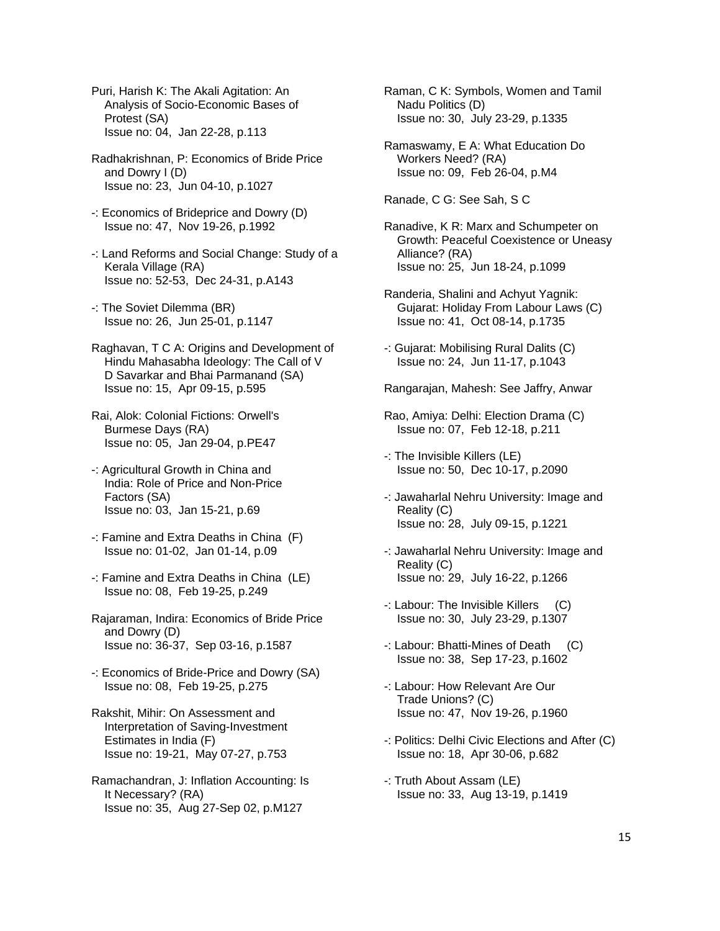Puri, Harish K: The Akali Agitation: An Analysis of Socio-Economic Bases of Protest (SA) Issue no: 04, Jan 22-28, p.113

 Radhakrishnan, P: Economics of Bride Price and Dowry I (D) Issue no: 23, Jun 04-10, p.1027

- -: Economics of Brideprice and Dowry (D) Issue no: 47, Nov 19-26, p.1992
- -: Land Reforms and Social Change: Study of a Kerala Village (RA) Issue no: 52-53, Dec 24-31, p.A143
- -: The Soviet Dilemma (BR) Issue no: 26, Jun 25-01, p.1147
- Raghavan, T C A: Origins and Development of Hindu Mahasabha Ideology: The Call of V D Savarkar and Bhai Parmanand (SA) Issue no: 15, Apr 09-15, p.595
- Rai, Alok: Colonial Fictions: Orwell's Burmese Days (RA) Issue no: 05, Jan 29-04, p.PE47
- -: Agricultural Growth in China and India: Role of Price and Non-Price Factors (SA) Issue no: 03, Jan 15-21, p.69
- -: Famine and Extra Deaths in China (F) Issue no: 01-02, Jan 01-14, p.09
- -: Famine and Extra Deaths in China (LE) Issue no: 08, Feb 19-25, p.249
- Rajaraman, Indira: Economics of Bride Price and Dowry (D) Issue no: 36-37, Sep 03-16, p.1587
- -: Economics of Bride-Price and Dowry (SA) Issue no: 08, Feb 19-25, p.275
- Rakshit, Mihir: On Assessment and Interpretation of Saving-Investment Estimates in India (F) Issue no: 19-21, May 07-27, p.753
- Ramachandran, J: Inflation Accounting: Is It Necessary? (RA) Issue no: 35, Aug 27-Sep 02, p.M127

 Raman, C K: Symbols, Women and Tamil Nadu Politics (D) Issue no: 30, July 23-29, p.1335

 Ramaswamy, E A: What Education Do Workers Need? (RA) Issue no: 09, Feb 26-04, p.M4

Ranade, C G: See Sah, S C

- Ranadive, K R: Marx and Schumpeter on Growth: Peaceful Coexistence or Uneasy Alliance? (RA) Issue no: 25, Jun 18-24, p.1099
- Randeria, Shalini and Achyut Yagnik: Gujarat: Holiday From Labour Laws (C) Issue no: 41, Oct 08-14, p.1735
- -: Gujarat: Mobilising Rural Dalits (C) Issue no: 24, Jun 11-17, p.1043
- Rangarajan, Mahesh: See Jaffry, Anwar
- Rao, Amiya: Delhi: Election Drama (C) Issue no: 07, Feb 12-18, p.211
- -: The Invisible Killers (LE) Issue no: 50, Dec 10-17, p.2090
- -: Jawaharlal Nehru University: Image and Reality (C) Issue no: 28, July 09-15, p.1221
- -: Jawaharlal Nehru University: Image and Reality (C) Issue no: 29, July 16-22, p.1266
- -: Labour: The Invisible Killers (C) Issue no: 30, July 23-29, p.1307
- -: Labour: Bhatti-Mines of Death (C) Issue no: 38, Sep 17-23, p.1602
- -: Labour: How Relevant Are Our Trade Unions? (C) Issue no: 47, Nov 19-26, p.1960
- -: Politics: Delhi Civic Elections and After (C) Issue no: 18, Apr 30-06, p.682
- -: Truth About Assam (LE) Issue no: 33, Aug 13-19, p.1419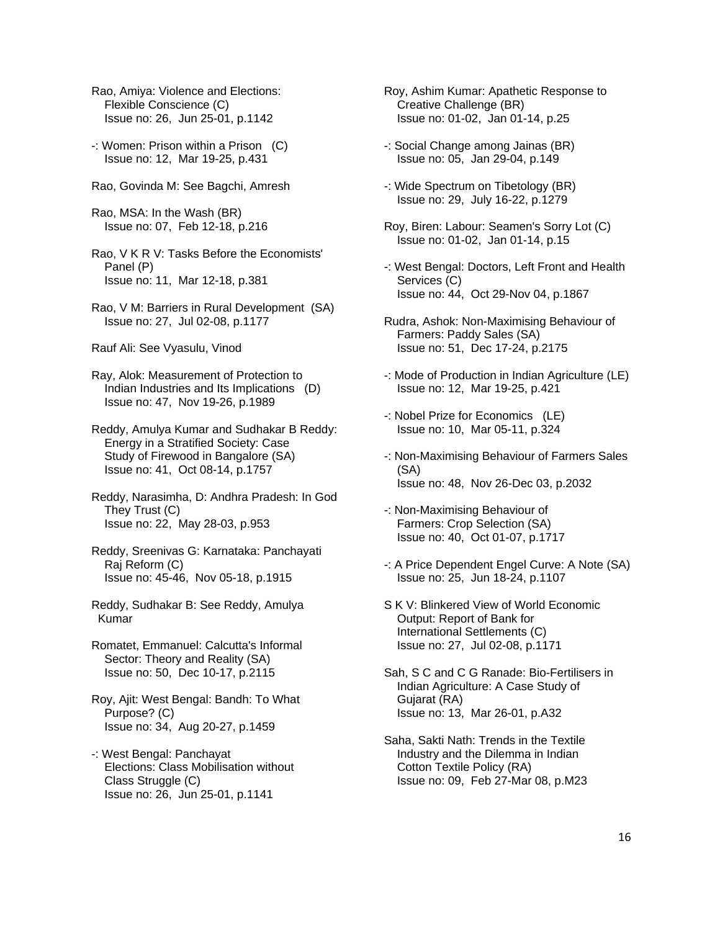- Rao, Amiya: Violence and Elections: Flexible Conscience (C) Issue no: 26, Jun 25-01, p.1142
- -: Women: Prison within a Prison (C) Issue no: 12, Mar 19-25, p.431
- Rao, Govinda M: See Bagchi, Amresh
- Rao, MSA: In the Wash (BR) Issue no: 07, Feb 12-18, p.216
- Rao, V K R V: Tasks Before the Economists' Panel (P) Issue no: 11, Mar 12-18, p.381
- Rao, V M: Barriers in Rural Development (SA) Issue no: 27, Jul 02-08, p.1177
- Rauf Ali: See Vyasulu, Vinod
- Ray, Alok: Measurement of Protection to Indian Industries and Its Implications (D) Issue no: 47, Nov 19-26, p.1989
- Reddy, Amulya Kumar and Sudhakar B Reddy: Energy in a Stratified Society: Case Study of Firewood in Bangalore (SA) Issue no: 41, Oct 08-14, p.1757
- Reddy, Narasimha, D: Andhra Pradesh: In God They Trust (C) Issue no: 22, May 28-03, p.953
- Reddy, Sreenivas G: Karnataka: Panchayati Raj Reform (C) Issue no: 45-46, Nov 05-18, p.1915
- Reddy, Sudhakar B: See Reddy, Amulya Kumar
- Romatet, Emmanuel: Calcutta's Informal Sector: Theory and Reality (SA) Issue no: 50, Dec 10-17, p.2115
- Roy, Ajit: West Bengal: Bandh: To What Purpose? (C) Issue no: 34, Aug 20-27, p.1459
- -: West Bengal: Panchayat Elections: Class Mobilisation without Class Struggle (C) Issue no: 26, Jun 25-01, p.1141
- Roy, Ashim Kumar: Apathetic Response to Creative Challenge (BR) Issue no: 01-02, Jan 01-14, p.25
- -: Social Change among Jainas (BR) Issue no: 05, Jan 29-04, p.149
- -: Wide Spectrum on Tibetology (BR) Issue no: 29, July 16-22, p.1279
- Roy, Biren: Labour: Seamen's Sorry Lot (C) Issue no: 01-02, Jan 01-14, p.15
- -: West Bengal: Doctors, Left Front and Health Services (C) Issue no: 44, Oct 29-Nov 04, p.1867
- Rudra, Ashok: Non-Maximising Behaviour of Farmers: Paddy Sales (SA) Issue no: 51, Dec 17-24, p.2175
- -: Mode of Production in Indian Agriculture (LE) Issue no: 12, Mar 19-25, p.421
- -: Nobel Prize for Economics (LE) Issue no: 10, Mar 05-11, p.324
- -: Non-Maximising Behaviour of Farmers Sales (SA) Issue no: 48, Nov 26-Dec 03, p.2032
- -: Non-Maximising Behaviour of Farmers: Crop Selection (SA) Issue no: 40, Oct 01-07, p.1717
- -: A Price Dependent Engel Curve: A Note (SA) Issue no: 25, Jun 18-24, p.1107
- S K V: Blinkered View of World Economic Output: Report of Bank for International Settlements (C) Issue no: 27, Jul 02-08, p.1171
- Sah, S C and C G Ranade: Bio-Fertilisers in Indian Agriculture: A Case Study of Gujarat (RA) Issue no: 13, Mar 26-01, p.A32
- Saha, Sakti Nath: Trends in the Textile Industry and the Dilemma in Indian Cotton Textile Policy (RA) Issue no: 09, Feb 27-Mar 08, p.M23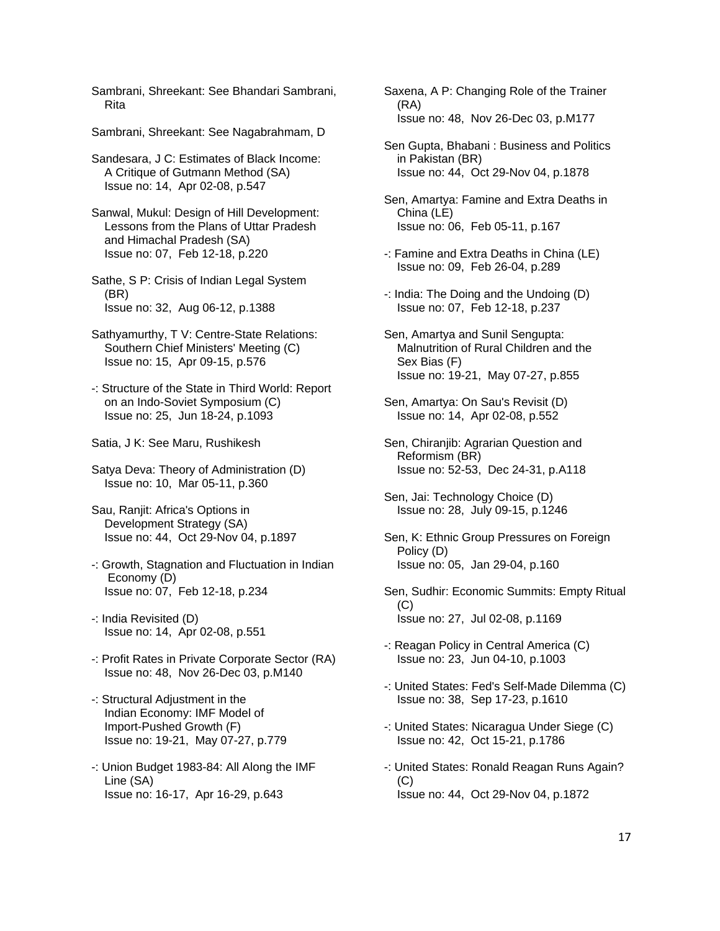Sambrani, Shreekant: See Bhandari Sambrani, Rita

Sambrani, Shreekant: See Nagabrahmam, D

 Sandesara, J C: Estimates of Black Income: A Critique of Gutmann Method (SA) Issue no: 14, Apr 02-08, p.547

 Sanwal, Mukul: Design of Hill Development: Lessons from the Plans of Uttar Pradesh and Himachal Pradesh (SA) Issue no: 07, Feb 12-18, p.220

 Sathe, S P: Crisis of Indian Legal System (BR) Issue no: 32, Aug 06-12, p.1388

- Sathyamurthy, T V: Centre-State Relations: Southern Chief Ministers' Meeting (C) Issue no: 15, Apr 09-15, p.576
- -: Structure of the State in Third World: Report on an Indo-Soviet Symposium (C) Issue no: 25, Jun 18-24, p.1093
- Satia, J K: See Maru, Rushikesh

 Satya Deva: Theory of Administration (D) Issue no: 10, Mar 05-11, p.360

 Sau, Ranjit: Africa's Options in Development Strategy (SA) Issue no: 44, Oct 29-Nov 04, p.1897

- -: Growth, Stagnation and Fluctuation in Indian Economy (D) Issue no: 07, Feb 12-18, p.234
- -: India Revisited (D) Issue no: 14, Apr 02-08, p.551
- -: Profit Rates in Private Corporate Sector (RA) Issue no: 48, Nov 26-Dec 03, p.M140
- -: Structural Adjustment in the Indian Economy: IMF Model of Import-Pushed Growth (F) Issue no: 19-21, May 07-27, p.779
- -: Union Budget 1983-84: All Along the IMF Line (SA) Issue no: 16-17, Apr 16-29, p.643

 Saxena, A P: Changing Role of the Trainer (RA) Issue no: 48, Nov 26-Dec 03, p.M177

 Sen Gupta, Bhabani : Business and Politics in Pakistan (BR) Issue no: 44, Oct 29-Nov 04, p.1878

 Sen, Amartya: Famine and Extra Deaths in China (LE) Issue no: 06, Feb 05-11, p.167

- -: Famine and Extra Deaths in China (LE) Issue no: 09, Feb 26-04, p.289
- -: India: The Doing and the Undoing (D) Issue no: 07, Feb 12-18, p.237
- Sen, Amartya and Sunil Sengupta: Malnutrition of Rural Children and the Sex Bias (F) Issue no: 19-21, May 07-27, p.855
- Sen, Amartya: On Sau's Revisit (D) Issue no: 14, Apr 02-08, p.552
- Sen, Chiranjib: Agrarian Question and Reformism (BR) Issue no: 52-53, Dec 24-31, p.A118

 Sen, Jai: Technology Choice (D) Issue no: 28, July 09-15, p.1246

- Sen, K: Ethnic Group Pressures on Foreign Policy (D) Issue no: 05, Jan 29-04, p.160
- Sen, Sudhir: Economic Summits: Empty Ritual  $(C)$ Issue no: 27, Jul 02-08, p.1169
- -: Reagan Policy in Central America (C) Issue no: 23, Jun 04-10, p.1003
- -: United States: Fed's Self-Made Dilemma (C) Issue no: 38, Sep 17-23, p.1610
- -: United States: Nicaragua Under Siege (C) Issue no: 42, Oct 15-21, p.1786
- -: United States: Ronald Reagan Runs Again? (C) Issue no: 44, Oct 29-Nov 04, p.1872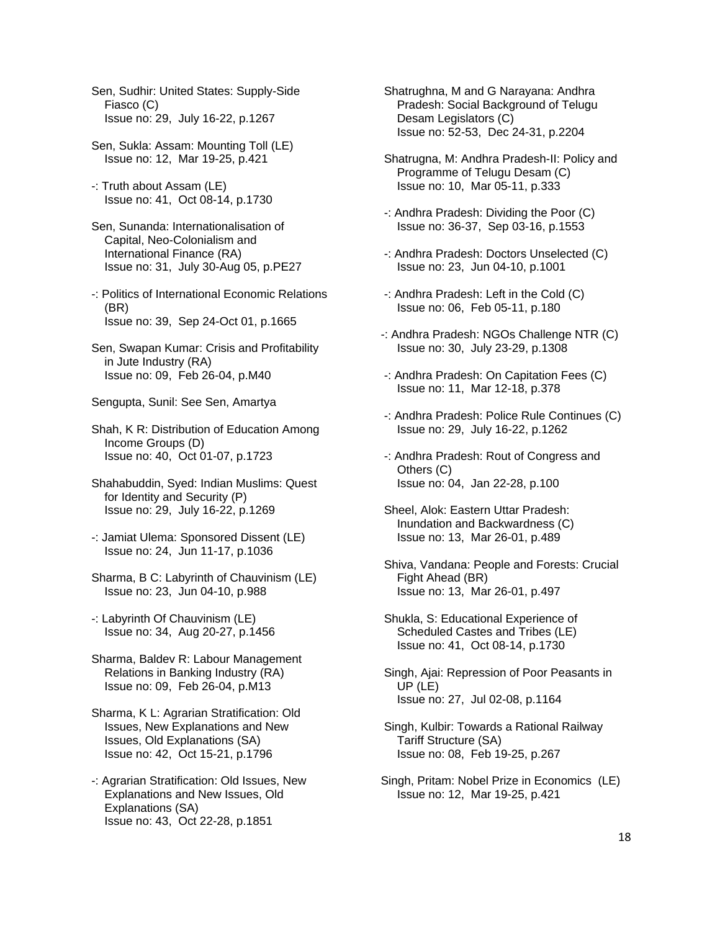- Sen, Sudhir: United States: Supply-Side Fiasco (C) Issue no: 29, July 16-22, p.1267
- Sen, Sukla: Assam: Mounting Toll (LE) Issue no: 12, Mar 19-25, p.421
- -: Truth about Assam (LE) Issue no: 41, Oct 08-14, p.1730
- Sen, Sunanda: Internationalisation of Capital, Neo-Colonialism and International Finance (RA) Issue no: 31, July 30-Aug 05, p.PE27
- -: Politics of International Economic Relations (BR) Issue no: 39, Sep 24-Oct 01, p.1665
- Sen, Swapan Kumar: Crisis and Profitability in Jute Industry (RA) Issue no: 09, Feb 26-04, p.M40
- Sengupta, Sunil: See Sen, Amartya
- Shah, K R: Distribution of Education Among Income Groups (D) Issue no: 40, Oct 01-07, p.1723
- Shahabuddin, Syed: Indian Muslims: Quest for Identity and Security (P) Issue no: 29, July 16-22, p.1269
- -: Jamiat Ulema: Sponsored Dissent (LE) Issue no: 24, Jun 11-17, p.1036
- Sharma, B C: Labyrinth of Chauvinism (LE) Issue no: 23, Jun 04-10, p.988
- -: Labyrinth Of Chauvinism (LE) Issue no: 34, Aug 20-27, p.1456
- Sharma, Baldev R: Labour Management Relations in Banking Industry (RA) Issue no: 09, Feb 26-04, p.M13
- Sharma, K L: Agrarian Stratification: Old Issues, New Explanations and New Issues, Old Explanations (SA) Issue no: 42, Oct 15-21, p.1796
- -: Agrarian Stratification: Old Issues, New Explanations and New Issues, Old Explanations (SA) Issue no: 43, Oct 22-28, p.1851
- Shatrughna, M and G Narayana: Andhra Pradesh: Social Background of Telugu Desam Legislators (C) Issue no: 52-53, Dec 24-31, p.2204
- Shatrugna, M: Andhra Pradesh-II: Policy and Programme of Telugu Desam (C) Issue no: 10, Mar 05-11, p.333
- -: Andhra Pradesh: Dividing the Poor (C) Issue no: 36-37, Sep 03-16, p.1553
- -: Andhra Pradesh: Doctors Unselected (C) Issue no: 23, Jun 04-10, p.1001
- -: Andhra Pradesh: Left in the Cold (C) Issue no: 06, Feb 05-11, p.180
- -: Andhra Pradesh: NGOs Challenge NTR (C) Issue no: 30, July 23-29, p.1308
- -: Andhra Pradesh: On Capitation Fees (C) Issue no: 11, Mar 12-18, p.378
- -: Andhra Pradesh: Police Rule Continues (C) Issue no: 29, July 16-22, p.1262
- -: Andhra Pradesh: Rout of Congress and Others (C) Issue no: 04, Jan 22-28, p.100
- Sheel, Alok: Eastern Uttar Pradesh: Inundation and Backwardness (C) Issue no: 13, Mar 26-01, p.489
- Shiva, Vandana: People and Forests: Crucial Fight Ahead (BR) Issue no: 13, Mar 26-01, p.497
- Shukla, S: Educational Experience of Scheduled Castes and Tribes (LE) Issue no: 41, Oct 08-14, p.1730
- Singh, Ajai: Repression of Poor Peasants in UP (LE) Issue no: 27, Jul 02-08, p.1164
- Singh, Kulbir: Towards a Rational Railway Tariff Structure (SA) Issue no: 08, Feb 19-25, p.267
- Singh, Pritam: Nobel Prize in Economics (LE) Issue no: 12, Mar 19-25, p.421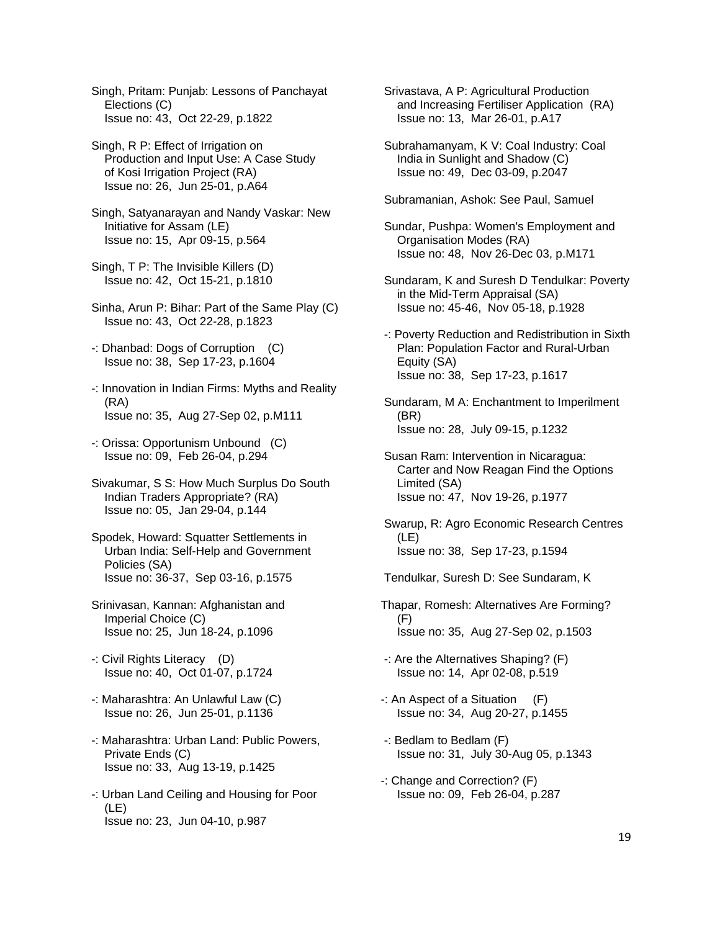Singh, Pritam: Punjab: Lessons of Panchayat Elections (C) Issue no: 43, Oct 22-29, p.1822

 Singh, R P: Effect of Irrigation on Production and Input Use: A Case Study of Kosi Irrigation Project (RA) Issue no: 26, Jun 25-01, p.A64

 Singh, Satyanarayan and Nandy Vaskar: New Initiative for Assam (LE) Issue no: 15, Apr 09-15, p.564

 Singh, T P: The Invisible Killers (D) Issue no: 42, Oct 15-21, p.1810

 Sinha, Arun P: Bihar: Part of the Same Play (C) Issue no: 43, Oct 22-28, p.1823

 -: Dhanbad: Dogs of Corruption (C) Issue no: 38, Sep 17-23, p.1604

- -: Innovation in Indian Firms: Myths and Reality (RA) Issue no: 35, Aug 27-Sep 02, p.M111
- -: Orissa: Opportunism Unbound (C) Issue no: 09, Feb 26-04, p.294

 Sivakumar, S S: How Much Surplus Do South Indian Traders Appropriate? (RA) Issue no: 05, Jan 29-04, p.144

 Spodek, Howard: Squatter Settlements in Urban India: Self-Help and Government Policies (SA) Issue no: 36-37, Sep 03-16, p.1575

- Srinivasan, Kannan: Afghanistan and Imperial Choice (C) Issue no: 25, Jun 18-24, p.1096
- -: Civil Rights Literacy (D) Issue no: 40, Oct 01-07, p.1724
- -: Maharashtra: An Unlawful Law (C) Issue no: 26, Jun 25-01, p.1136
- -: Maharashtra: Urban Land: Public Powers, Private Ends (C) Issue no: 33, Aug 13-19, p.1425
- -: Urban Land Ceiling and Housing for Poor (LE) Issue no: 23, Jun 04-10, p.987

 Srivastava, A P: Agricultural Production and Increasing Fertiliser Application (RA) Issue no: 13, Mar 26-01, p.A17

 Subrahamanyam, K V: Coal Industry: Coal India in Sunlight and Shadow (C) Issue no: 49, Dec 03-09, p.2047

Subramanian, Ashok: See Paul, Samuel

 Sundar, Pushpa: Women's Employment and Organisation Modes (RA) Issue no: 48, Nov 26-Dec 03, p.M171

- Sundaram, K and Suresh D Tendulkar: Poverty in the Mid-Term Appraisal (SA) Issue no: 45-46, Nov 05-18, p.1928
- -: Poverty Reduction and Redistribution in Sixth Plan: Population Factor and Rural-Urban Equity (SA) Issue no: 38, Sep 17-23, p.1617

 Sundaram, M A: Enchantment to Imperilment (BR) Issue no: 28, July 09-15, p.1232

 Susan Ram: Intervention in Nicaragua: Carter and Now Reagan Find the Options Limited (SA) Issue no: 47, Nov 19-26, p.1977

 Swarup, R: Agro Economic Research Centres (LE) Issue no: 38, Sep 17-23, p.1594

Tendulkar, Suresh D: See Sundaram, K

Thapar, Romesh: Alternatives Are Forming? (F) Issue no: 35, Aug 27-Sep 02, p.1503

 -: Are the Alternatives Shaping? (F) Issue no: 14, Apr 02-08, p.519

-: An Aspect of a Situation (F) Issue no: 34, Aug 20-27, p.1455

 -: Bedlam to Bedlam (F) Issue no: 31, July 30-Aug 05, p.1343

-: Change and Correction? (F) Issue no: 09, Feb 26-04, p.287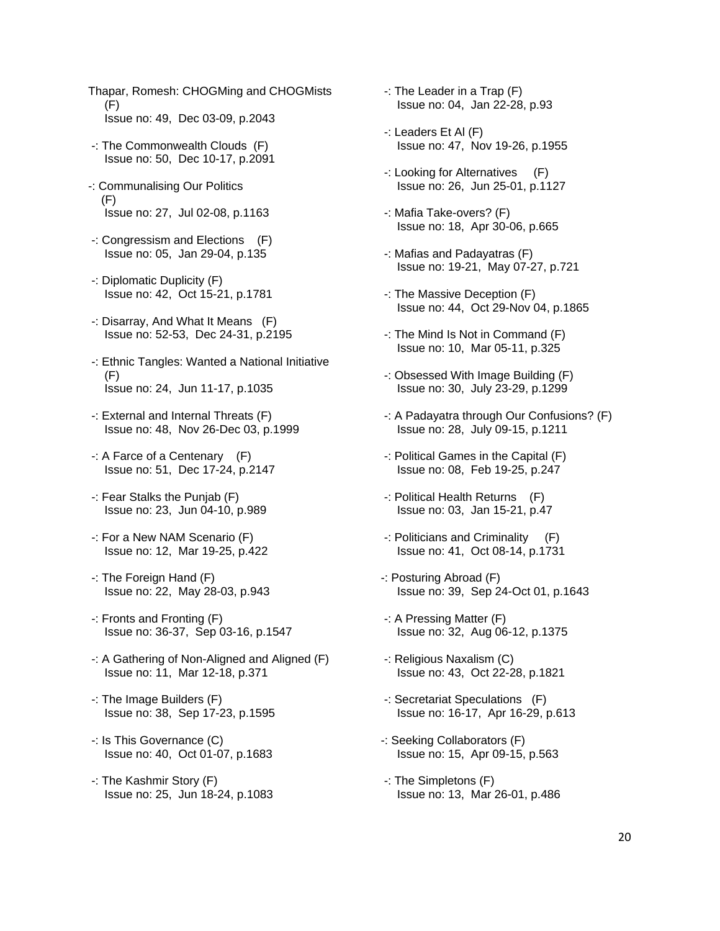- Thapar, Romesh: CHOGMing and CHOGMists (F) Issue no: 49, Dec 03-09, p.2043
- -: The Commonwealth Clouds (F) Issue no: 50, Dec 10-17, p.2091
- -: Communalising Our Politics (F) Issue no: 27, Jul 02-08, p.1163
- -: Congressism and Elections (F) Issue no: 05, Jan 29-04, p.135
- -: Diplomatic Duplicity (F) Issue no: 42, Oct 15-21, p.1781
- -: Disarray, And What It Means (F) Issue no: 52-53, Dec 24-31, p.2195
- -: Ethnic Tangles: Wanted a National Initiative (F) Issue no: 24, Jun 11-17, p.1035
- -: External and Internal Threats (F) Issue no: 48, Nov 26-Dec 03, p.1999
- -: A Farce of a Centenary (F) Issue no: 51, Dec 17-24, p.2147
- -: Fear Stalks the Punjab (F) Issue no: 23, Jun 04-10, p.989
- -: For a New NAM Scenario (F) Issue no: 12, Mar 19-25, p.422
- -: The Foreign Hand (F) Issue no: 22, May 28-03, p.943
- -: Fronts and Fronting (F) Issue no: 36-37, Sep 03-16, p.1547
- -: A Gathering of Non-Aligned and Aligned (F) Issue no: 11, Mar 12-18, p.371
- -: The Image Builders (F) Issue no: 38, Sep 17-23, p.1595
- -: Is This Governance (C) Issue no: 40, Oct 01-07, p.1683
- -: The Kashmir Story (F) Issue no: 25, Jun 18-24, p.1083
- -: The Leader in a Trap (F) Issue no: 04, Jan 22-28, p.93
- -: Leaders Et Al (F) Issue no: 47, Nov 19-26, p.1955
- -: Looking for Alternatives (F) Issue no: 26, Jun 25-01, p.1127
- -: Mafia Take-overs? (F) Issue no: 18, Apr 30-06, p.665
- -: Mafias and Padayatras (F) Issue no: 19-21, May 07-27, p.721
- -: The Massive Deception (F) Issue no: 44, Oct 29-Nov 04, p.1865
- -: The Mind Is Not in Command (F) Issue no: 10, Mar 05-11, p.325
- -: Obsessed With Image Building (F) Issue no: 30, July 23-29, p.1299
- -: A Padayatra through Our Confusions? (F) Issue no: 28, July 09-15, p.1211
- -: Political Games in the Capital (F) Issue no: 08, Feb 19-25, p.247
- -: Political Health Returns (F) Issue no: 03, Jan 15-21, p.47
- -: Politicians and Criminality (F) Issue no: 41, Oct 08-14, p.1731
- -: Posturing Abroad (F) Issue no: 39, Sep 24-Oct 01, p.1643
- -: A Pressing Matter (F) Issue no: 32, Aug 06-12, p.1375
- -: Religious Naxalism (C) Issue no: 43, Oct 22-28, p.1821
- -: Secretariat Speculations (F) Issue no: 16-17, Apr 16-29, p.613
- -: Seeking Collaborators (F) Issue no: 15, Apr 09-15, p.563
- -: The Simpletons (F) Issue no: 13, Mar 26-01, p.486